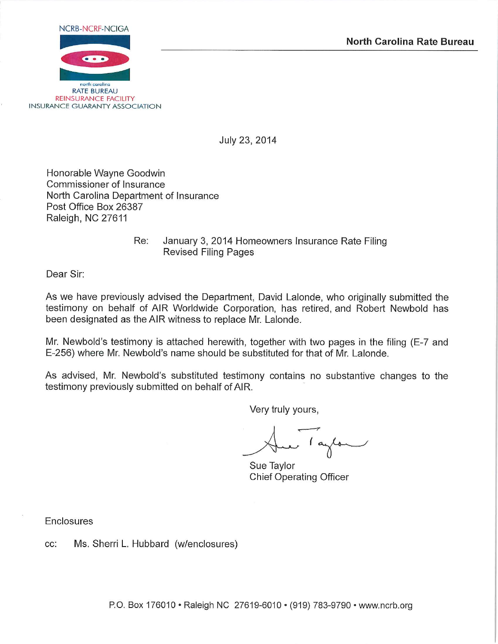

July 23, 2014

Honorable Wayne Goodwin Commissioner of Insurance North Carolina Department of Insurance Post Office Box 26387 Raleigh, NC 27611

> Re: January 3, 2014 Homeowners Insurance Rate Filing **Revised Filing Pages**

Dear Sir:

As we have previously advised the Department, David Lalonde, who originally submitted the testimony on behalf of AIR Worldwide Corporation, has retired, and Robert Newbold has been designated as the AIR witness to replace Mr. Lalonde.

Mr. Newbold's testimony is attached herewith, together with two pages in the filing (E-7 and E-256) where Mr. Newbold's name should be substituted for that of Mr. Lalonde.

As advised, Mr. Newbold's substituted testimony contains no substantive changes to the testimony previously submitted on behalf of AIR.

Very truly yours,

Taylor

Sue Taylor **Chief Operating Officer** 

Enclosures

Ms. Sherri L. Hubbard (w/enclosures) CC: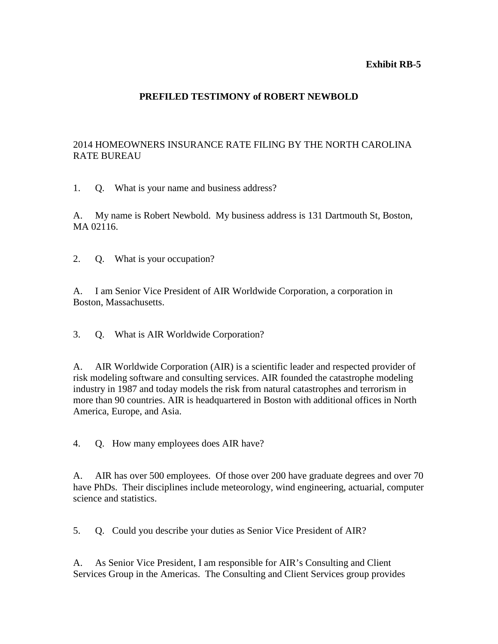### **Exhibit RB-5**

# **PREFILED TESTIMONY of ROBERT NEWBOLD**

# 2014 HOMEOWNERS INSURANCE RATE FILING BY THE NORTH CAROLINA RATE BUREAU

1. Q. What is your name and business address?

A. My name is Robert Newbold. My business address is 131 Dartmouth St, Boston, MA 02116.

2. Q. What is your occupation?

A. I am Senior Vice President of AIR Worldwide Corporation, a corporation in Boston, Massachusetts.

3. Q. What is AIR Worldwide Corporation?

A. AIR Worldwide Corporation (AIR) is a scientific leader and respected provider of risk modeling software and consulting services. AIR founded the catastrophe modeling industry in 1987 and today models the risk from natural catastrophes and terrorism in more than 90 countries. AIR is headquartered in Boston with additional offices in North America, Europe, and Asia.

4. Q. How many employees does AIR have?

A. AIR has over 500 employees. Of those over 200 have graduate degrees and over 70 have PhDs. Their disciplines include meteorology, wind engineering, actuarial, computer science and statistics.

5. Q. Could you describe your duties as Senior Vice President of AIR?

A. As Senior Vice President, I am responsible for AIR's Consulting and Client Services Group in the Americas. The Consulting and Client Services group provides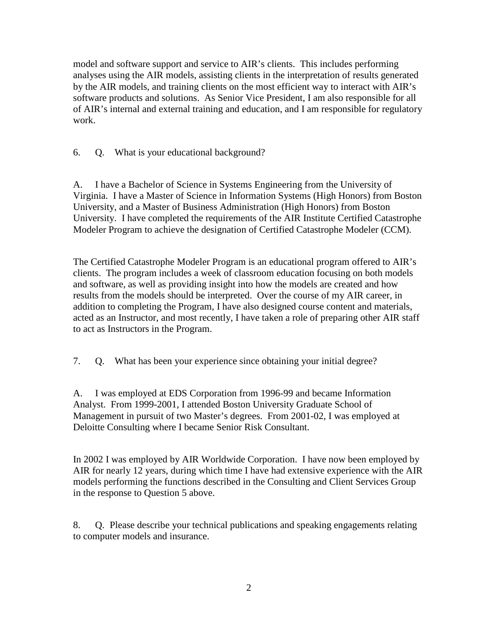model and software support and service to AIR's clients. This includes performing analyses using the AIR models, assisting clients in the interpretation of results generated by the AIR models, and training clients on the most efficient way to interact with AIR's software products and solutions. As Senior Vice President, I am also responsible for all of AIR's internal and external training and education, and I am responsible for regulatory work.

6. Q. What is your educational background?

A. I have a Bachelor of Science in Systems Engineering from the University of Virginia. I have a Master of Science in Information Systems (High Honors) from Boston University, and a Master of Business Administration (High Honors) from Boston University. I have completed the requirements of the AIR Institute Certified Catastrophe Modeler Program to achieve the designation of Certified Catastrophe Modeler (CCM).

The Certified Catastrophe Modeler Program is an educational program offered to AIR's clients. The program includes a week of classroom education focusing on both models and software, as well as providing insight into how the models are created and how results from the models should be interpreted. Over the course of my AIR career, in addition to completing the Program, I have also designed course content and materials, acted as an Instructor, and most recently, I have taken a role of preparing other AIR staff to act as Instructors in the Program.

7. Q. What has been your experience since obtaining your initial degree?

A. I was employed at EDS Corporation from 1996-99 and became Information Analyst. From 1999-2001, I attended Boston University Graduate School of Management in pursuit of two Master's degrees. From 2001-02, I was employed at Deloitte Consulting where I became Senior Risk Consultant.

In 2002 I was employed by AIR Worldwide Corporation. I have now been employed by AIR for nearly 12 years, during which time I have had extensive experience with the AIR models performing the functions described in the Consulting and Client Services Group in the response to Question 5 above.

8. Q. Please describe your technical publications and speaking engagements relating to computer models and insurance.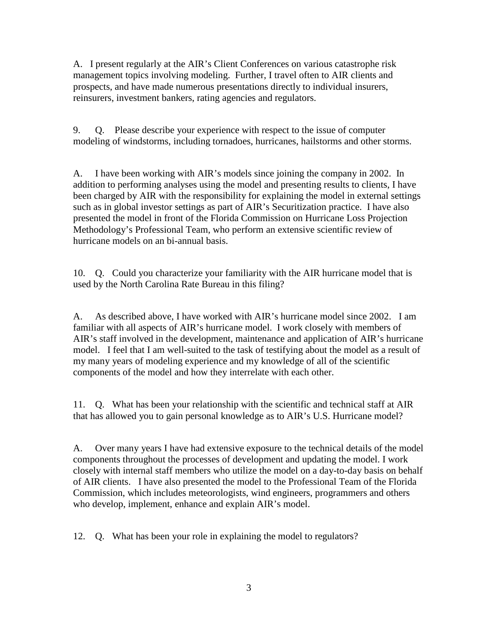A. I present regularly at the AIR's Client Conferences on various catastrophe risk management topics involving modeling. Further, I travel often to AIR clients and prospects, and have made numerous presentations directly to individual insurers, reinsurers, investment bankers, rating agencies and regulators.

9. Q. Please describe your experience with respect to the issue of computer modeling of windstorms, including tornadoes, hurricanes, hailstorms and other storms.

A. I have been working with AIR's models since joining the company in 2002. In addition to performing analyses using the model and presenting results to clients, I have been charged by AIR with the responsibility for explaining the model in external settings such as in global investor settings as part of AIR's Securitization practice. I have also presented the model in front of the Florida Commission on Hurricane Loss Projection Methodology's Professional Team, who perform an extensive scientific review of hurricane models on an bi-annual basis.

10. Q. Could you characterize your familiarity with the AIR hurricane model that is used by the North Carolina Rate Bureau in this filing?

A. As described above, I have worked with AIR's hurricane model since 2002. I am familiar with all aspects of AIR's hurricane model. I work closely with members of AIR's staff involved in the development, maintenance and application of AIR's hurricane model. I feel that I am well-suited to the task of testifying about the model as a result of my many years of modeling experience and my knowledge of all of the scientific components of the model and how they interrelate with each other.

11. Q. What has been your relationship with the scientific and technical staff at AIR that has allowed you to gain personal knowledge as to AIR's U.S. Hurricane model?

A. Over many years I have had extensive exposure to the technical details of the model components throughout the processes of development and updating the model. I work closely with internal staff members who utilize the model on a day-to-day basis on behalf of AIR clients. I have also presented the model to the Professional Team of the Florida Commission, which includes meteorologists, wind engineers, programmers and others who develop, implement, enhance and explain AIR's model.

12. Q. What has been your role in explaining the model to regulators?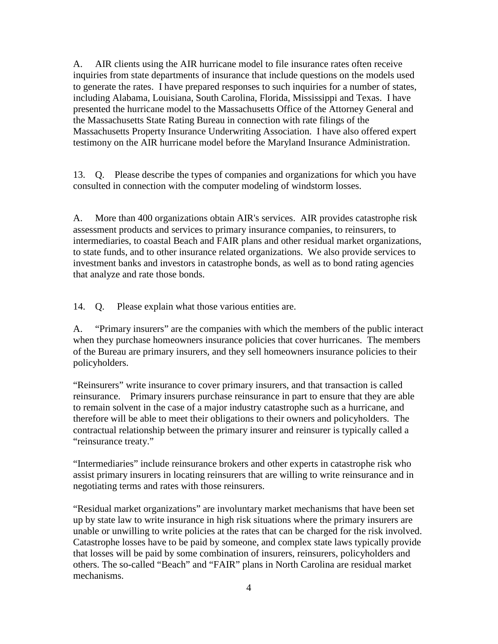A. AIR clients using the AIR hurricane model to file insurance rates often receive inquiries from state departments of insurance that include questions on the models used to generate the rates. I have prepared responses to such inquiries for a number of states, including Alabama, Louisiana, South Carolina, Florida, Mississippi and Texas. I have presented the hurricane model to the Massachusetts Office of the Attorney General and the Massachusetts State Rating Bureau in connection with rate filings of the Massachusetts Property Insurance Underwriting Association. I have also offered expert testimony on the AIR hurricane model before the Maryland Insurance Administration.

13. Q. Please describe the types of companies and organizations for which you have consulted in connection with the computer modeling of windstorm losses.

A. More than 400 organizations obtain AIR's services. AIR provides catastrophe risk assessment products and services to primary insurance companies, to reinsurers, to intermediaries, to coastal Beach and FAIR plans and other residual market organizations, to state funds, and to other insurance related organizations. We also provide services to investment banks and investors in catastrophe bonds, as well as to bond rating agencies that analyze and rate those bonds.

14. Q. Please explain what those various entities are.

A. "Primary insurers" are the companies with which the members of the public interact when they purchase homeowners insurance policies that cover hurricanes. The members of the Bureau are primary insurers, and they sell homeowners insurance policies to their policyholders.

"Reinsurers" write insurance to cover primary insurers, and that transaction is called reinsurance. Primary insurers purchase reinsurance in part to ensure that they are able to remain solvent in the case of a major industry catastrophe such as a hurricane, and therefore will be able to meet their obligations to their owners and policyholders. The contractual relationship between the primary insurer and reinsurer is typically called a "reinsurance treaty."

"Intermediaries" include reinsurance brokers and other experts in catastrophe risk who assist primary insurers in locating reinsurers that are willing to write reinsurance and in negotiating terms and rates with those reinsurers.

"Residual market organizations" are involuntary market mechanisms that have been set up by state law to write insurance in high risk situations where the primary insurers are unable or unwilling to write policies at the rates that can be charged for the risk involved. Catastrophe losses have to be paid by someone, and complex state laws typically provide that losses will be paid by some combination of insurers, reinsurers, policyholders and others. The so-called "Beach" and "FAIR" plans in North Carolina are residual market mechanisms.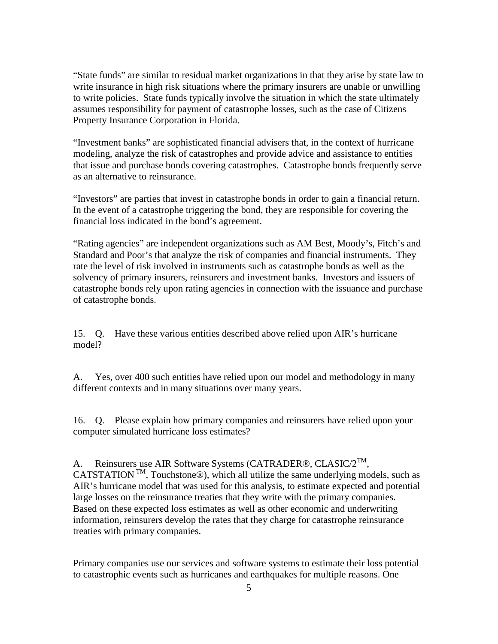"State funds" are similar to residual market organizations in that they arise by state law to write insurance in high risk situations where the primary insurers are unable or unwilling to write policies. State funds typically involve the situation in which the state ultimately assumes responsibility for payment of catastrophe losses, such as the case of Citizens Property Insurance Corporation in Florida.

"Investment banks" are sophisticated financial advisers that, in the context of hurricane modeling, analyze the risk of catastrophes and provide advice and assistance to entities that issue and purchase bonds covering catastrophes. Catastrophe bonds frequently serve as an alternative to reinsurance.

"Investors" are parties that invest in catastrophe bonds in order to gain a financial return. In the event of a catastrophe triggering the bond, they are responsible for covering the financial loss indicated in the bond's agreement.

"Rating agencies" are independent organizations such as AM Best, Moody's, Fitch's and Standard and Poor's that analyze the risk of companies and financial instruments. They rate the level of risk involved in instruments such as catastrophe bonds as well as the solvency of primary insurers, reinsurers and investment banks. Investors and issuers of catastrophe bonds rely upon rating agencies in connection with the issuance and purchase of catastrophe bonds.

15. Q. Have these various entities described above relied upon AIR's hurricane model?

A. Yes, over 400 such entities have relied upon our model and methodology in many different contexts and in many situations over many years.

16. Q. Please explain how primary companies and reinsurers have relied upon your computer simulated hurricane loss estimates?

A. Reinsurers use AIR Software Systems (CATRADER®, CLASIC/ $2^{TM}$ , CATSTATION<sup>TM</sup>, Touchstone<sup>®</sup>), which all utilize the same underlying models, such as AIR's hurricane model that was used for this analysis, to estimate expected and potential large losses on the reinsurance treaties that they write with the primary companies. Based on these expected loss estimates as well as other economic and underwriting information, reinsurers develop the rates that they charge for catastrophe reinsurance treaties with primary companies.

Primary companies use our services and software systems to estimate their loss potential to catastrophic events such as hurricanes and earthquakes for multiple reasons. One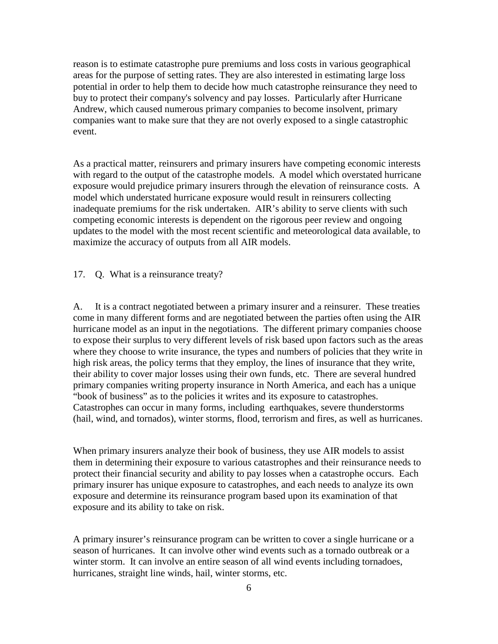reason is to estimate catastrophe pure premiums and loss costs in various geographical areas for the purpose of setting rates. They are also interested in estimating large loss potential in order to help them to decide how much catastrophe reinsurance they need to buy to protect their company's solvency and pay losses. Particularly after Hurricane Andrew, which caused numerous primary companies to become insolvent, primary companies want to make sure that they are not overly exposed to a single catastrophic event.

As a practical matter, reinsurers and primary insurers have competing economic interests with regard to the output of the catastrophe models. A model which overstated hurricane exposure would prejudice primary insurers through the elevation of reinsurance costs. A model which understated hurricane exposure would result in reinsurers collecting inadequate premiums for the risk undertaken. AIR's ability to serve clients with such competing economic interests is dependent on the rigorous peer review and ongoing updates to the model with the most recent scientific and meteorological data available, to maximize the accuracy of outputs from all AIR models.

17. Q. What is a reinsurance treaty?

A. It is a contract negotiated between a primary insurer and a reinsurer. These treaties come in many different forms and are negotiated between the parties often using the AIR hurricane model as an input in the negotiations. The different primary companies choose to expose their surplus to very different levels of risk based upon factors such as the areas where they choose to write insurance, the types and numbers of policies that they write in high risk areas, the policy terms that they employ, the lines of insurance that they write, their ability to cover major losses using their own funds, etc. There are several hundred primary companies writing property insurance in North America, and each has a unique "book of business" as to the policies it writes and its exposure to catastrophes. Catastrophes can occur in many forms, including earthquakes, severe thunderstorms (hail, wind, and tornados), winter storms, flood, terrorism and fires, as well as hurricanes.

When primary insurers analyze their book of business, they use AIR models to assist them in determining their exposure to various catastrophes and their reinsurance needs to protect their financial security and ability to pay losses when a catastrophe occurs. Each primary insurer has unique exposure to catastrophes, and each needs to analyze its own exposure and determine its reinsurance program based upon its examination of that exposure and its ability to take on risk.

A primary insurer's reinsurance program can be written to cover a single hurricane or a season of hurricanes. It can involve other wind events such as a tornado outbreak or a winter storm. It can involve an entire season of all wind events including tornadoes, hurricanes, straight line winds, hail, winter storms, etc.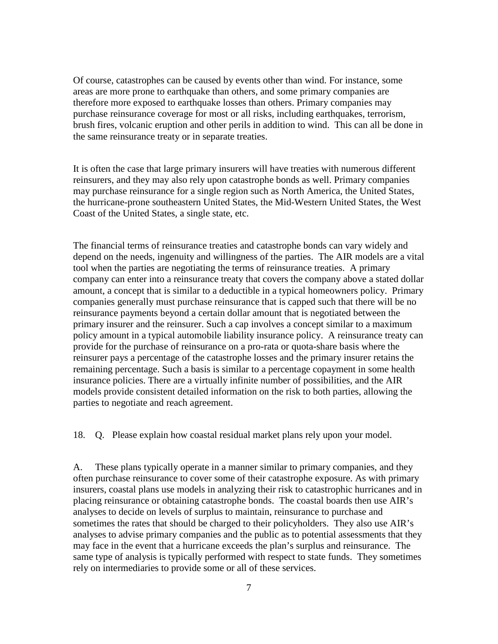Of course, catastrophes can be caused by events other than wind. For instance, some areas are more prone to earthquake than others, and some primary companies are therefore more exposed to earthquake losses than others. Primary companies may purchase reinsurance coverage for most or all risks, including earthquakes, terrorism, brush fires, volcanic eruption and other perils in addition to wind. This can all be done in the same reinsurance treaty or in separate treaties.

It is often the case that large primary insurers will have treaties with numerous different reinsurers, and they may also rely upon catastrophe bonds as well. Primary companies may purchase reinsurance for a single region such as North America, the United States, the hurricane-prone southeastern United States, the Mid-Western United States, the West Coast of the United States, a single state, etc.

The financial terms of reinsurance treaties and catastrophe bonds can vary widely and depend on the needs, ingenuity and willingness of the parties. The AIR models are a vital tool when the parties are negotiating the terms of reinsurance treaties. A primary company can enter into a reinsurance treaty that covers the company above a stated dollar amount, a concept that is similar to a deductible in a typical homeowners policy. Primary companies generally must purchase reinsurance that is capped such that there will be no reinsurance payments beyond a certain dollar amount that is negotiated between the primary insurer and the reinsurer. Such a cap involves a concept similar to a maximum policy amount in a typical automobile liability insurance policy. A reinsurance treaty can provide for the purchase of reinsurance on a pro-rata or quota-share basis where the reinsurer pays a percentage of the catastrophe losses and the primary insurer retains the remaining percentage. Such a basis is similar to a percentage copayment in some health insurance policies. There are a virtually infinite number of possibilities, and the AIR models provide consistent detailed information on the risk to both parties, allowing the parties to negotiate and reach agreement.

18. Q. Please explain how coastal residual market plans rely upon your model.

A. These plans typically operate in a manner similar to primary companies, and they often purchase reinsurance to cover some of their catastrophe exposure. As with primary insurers, coastal plans use models in analyzing their risk to catastrophic hurricanes and in placing reinsurance or obtaining catastrophe bonds. The coastal boards then use AIR's analyses to decide on levels of surplus to maintain, reinsurance to purchase and sometimes the rates that should be charged to their policyholders. They also use AIR's analyses to advise primary companies and the public as to potential assessments that they may face in the event that a hurricane exceeds the plan's surplus and reinsurance. The same type of analysis is typically performed with respect to state funds. They sometimes rely on intermediaries to provide some or all of these services.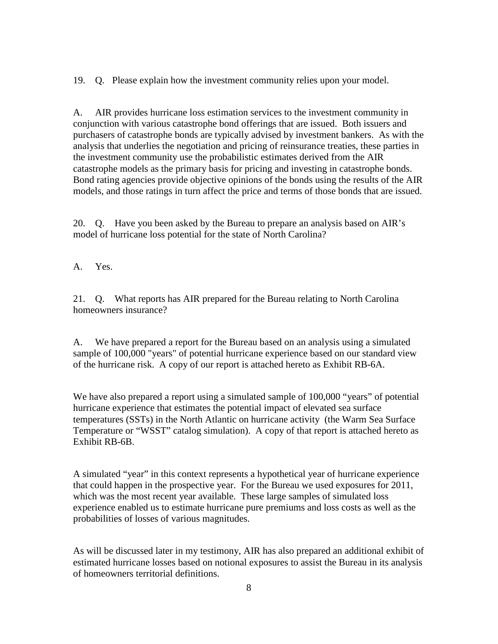19. Q. Please explain how the investment community relies upon your model.

A. AIR provides hurricane loss estimation services to the investment community in conjunction with various catastrophe bond offerings that are issued. Both issuers and purchasers of catastrophe bonds are typically advised by investment bankers. As with the analysis that underlies the negotiation and pricing of reinsurance treaties, these parties in the investment community use the probabilistic estimates derived from the AIR catastrophe models as the primary basis for pricing and investing in catastrophe bonds. Bond rating agencies provide objective opinions of the bonds using the results of the AIR models, and those ratings in turn affect the price and terms of those bonds that are issued.

20. Q. Have you been asked by the Bureau to prepare an analysis based on AIR's model of hurricane loss potential for the state of North Carolina?

A. Yes.

21. Q. What reports has AIR prepared for the Bureau relating to North Carolina homeowners insurance?

A. We have prepared a report for the Bureau based on an analysis using a simulated sample of 100,000 "years" of potential hurricane experience based on our standard view of the hurricane risk. A copy of our report is attached hereto as Exhibit RB-6A.

We have also prepared a report using a simulated sample of 100,000 "years" of potential hurricane experience that estimates the potential impact of elevated sea surface temperatures (SSTs) in the North Atlantic on hurricane activity (the Warm Sea Surface Temperature or "WSST" catalog simulation). A copy of that report is attached hereto as Exhibit RB-6B.

A simulated "year" in this context represents a hypothetical year of hurricane experience that could happen in the prospective year. For the Bureau we used exposures for 2011, which was the most recent year available. These large samples of simulated loss experience enabled us to estimate hurricane pure premiums and loss costs as well as the probabilities of losses of various magnitudes.

As will be discussed later in my testimony, AIR has also prepared an additional exhibit of estimated hurricane losses based on notional exposures to assist the Bureau in its analysis of homeowners territorial definitions.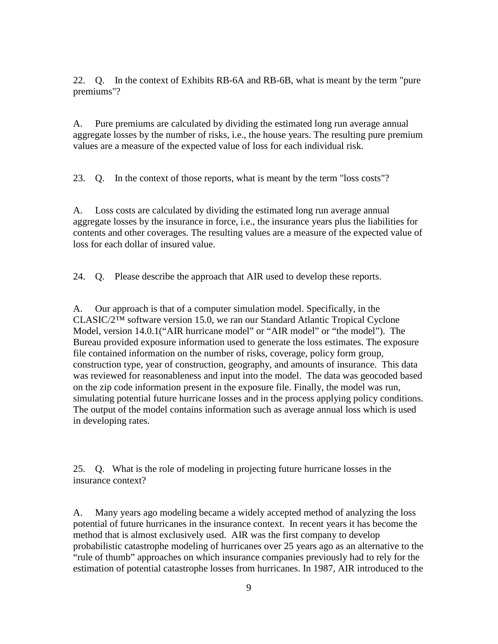22. Q. In the context of Exhibits RB-6A and RB-6B, what is meant by the term "pure premiums"?

A. Pure premiums are calculated by dividing the estimated long run average annual aggregate losses by the number of risks, i.e., the house years. The resulting pure premium values are a measure of the expected value of loss for each individual risk.

23. Q. In the context of those reports, what is meant by the term "loss costs"?

A. Loss costs are calculated by dividing the estimated long run average annual aggregate losses by the insurance in force, i.e., the insurance years plus the liabilities for contents and other coverages. The resulting values are a measure of the expected value of loss for each dollar of insured value.

24. Q. Please describe the approach that AIR used to develop these reports.

A. Our approach is that of a computer simulation model. Specifically, in the CLASIC/2™ software version 15.0, we ran our Standard Atlantic Tropical Cyclone Model, version 14.0.1("AIR hurricane model" or "AIR model" or "the model"). The Bureau provided exposure information used to generate the loss estimates. The exposure file contained information on the number of risks, coverage, policy form group, construction type, year of construction, geography, and amounts of insurance. This data was reviewed for reasonableness and input into the model. The data was geocoded based on the zip code information present in the exposure file. Finally, the model was run, simulating potential future hurricane losses and in the process applying policy conditions. The output of the model contains information such as average annual loss which is used in developing rates.

25. Q. What is the role of modeling in projecting future hurricane losses in the insurance context?

A. Many years ago modeling became a widely accepted method of analyzing the loss potential of future hurricanes in the insurance context. In recent years it has become the method that is almost exclusively used. AIR was the first company to develop probabilistic catastrophe modeling of hurricanes over 25 years ago as an alternative to the "rule of thumb" approaches on which insurance companies previously had to rely for the estimation of potential catastrophe losses from hurricanes. In 1987, AIR introduced to the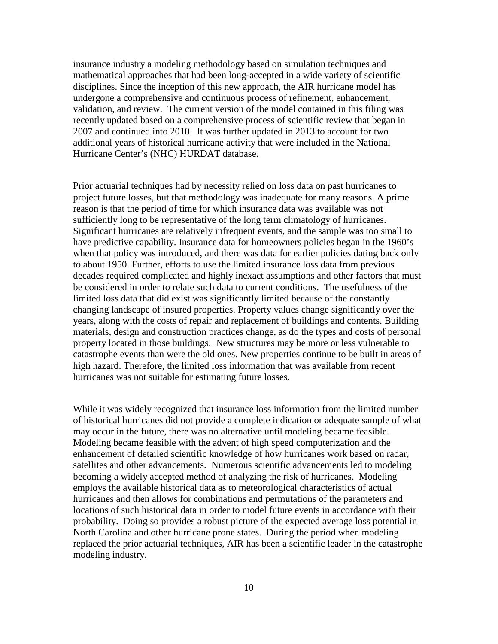insurance industry a modeling methodology based on simulation techniques and mathematical approaches that had been long-accepted in a wide variety of scientific disciplines. Since the inception of this new approach, the AIR hurricane model has undergone a comprehensive and continuous process of refinement, enhancement, validation, and review. The current version of the model contained in this filing was recently updated based on a comprehensive process of scientific review that began in 2007 and continued into 2010. It was further updated in 2013 to account for two additional years of historical hurricane activity that were included in the National Hurricane Center's (NHC) HURDAT database.

Prior actuarial techniques had by necessity relied on loss data on past hurricanes to project future losses, but that methodology was inadequate for many reasons. A prime reason is that the period of time for which insurance data was available was not sufficiently long to be representative of the long term climatology of hurricanes. Significant hurricanes are relatively infrequent events, and the sample was too small to have predictive capability. Insurance data for homeowners policies began in the 1960's when that policy was introduced, and there was data for earlier policies dating back only to about 1950. Further, efforts to use the limited insurance loss data from previous decades required complicated and highly inexact assumptions and other factors that must be considered in order to relate such data to current conditions. The usefulness of the limited loss data that did exist was significantly limited because of the constantly changing landscape of insured properties. Property values change significantly over the years, along with the costs of repair and replacement of buildings and contents. Building materials, design and construction practices change, as do the types and costs of personal property located in those buildings. New structures may be more or less vulnerable to catastrophe events than were the old ones. New properties continue to be built in areas of high hazard. Therefore, the limited loss information that was available from recent hurricanes was not suitable for estimating future losses.

While it was widely recognized that insurance loss information from the limited number of historical hurricanes did not provide a complete indication or adequate sample of what may occur in the future, there was no alternative until modeling became feasible. Modeling became feasible with the advent of high speed computerization and the enhancement of detailed scientific knowledge of how hurricanes work based on radar, satellites and other advancements. Numerous scientific advancements led to modeling becoming a widely accepted method of analyzing the risk of hurricanes. Modeling employs the available historical data as to meteorological characteristics of actual hurricanes and then allows for combinations and permutations of the parameters and locations of such historical data in order to model future events in accordance with their probability. Doing so provides a robust picture of the expected average loss potential in North Carolina and other hurricane prone states. During the period when modeling replaced the prior actuarial techniques, AIR has been a scientific leader in the catastrophe modeling industry.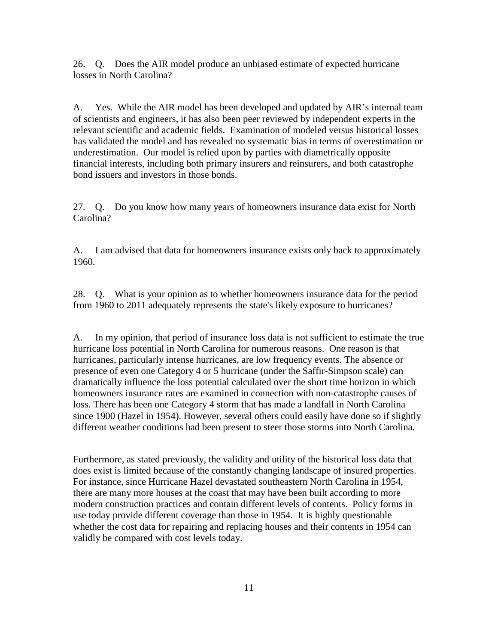26. Q. Does the AIR model produce an unbiased estimate of expected hurricane losses in North Carolina?

A. Yes. While the AIR model has been developed and updated by AIR's internal team of scientists and engineers, it has also been peer reviewed by independent experts in the relevant scientific and academic fields. Examination of modeled versus historical losses has validated the model and has revealed no systematic bias in terms of overestimation or underestimation. Our model is relied upon by parties with diametrically opposite financial interests, including both primary insurers and reinsurers, and both catastrophe bond issuers and investors in those bonds.

27. Q. Do you know how many years of homeowners insurance data exist for North Carolina?

A. I am advised that data for homeowners insurance exists only back to approximately 1960.

28. Q. What is your opinion as to whether homeowners insurance data for the period from 1960 to 2011 adequately represents the state's likely exposure to hurricanes?

A. In my opinion, that period of insurance loss data is not sufficient to estimate the true hurricane loss potential in North Carolina for numerous reasons. One reason is that hurricanes, particularly intense hurricanes, are low frequency events. The absence or presence of even one Category 4 or 5 hurricane (under the Saffir-Simpson scale) can dramatically influence the loss potential calculated over the short time horizon in which homeowners insurance rates are examined in connection with non-catastrophe causes of loss. There has been one Category 4 storm that has made a landfall in North Carolina since 1900 (Hazel in 1954). However, several others could easily have done so if slightly different weather conditions had been present to steer those storms into North Carolina.

Furthermore, as stated previously, the validity and utility of the historical loss data that does exist is limited because of the constantly changing landscape of insured properties. For instance, since Hurricane Hazel devastated southeastern North Carolina in 1954, there are many more houses at the coast that may have been built according to more modern construction practices and contain different levels of contents. Policy forms in use today provide different coverage than those in 1954. It is highly questionable whether the cost data for repairing and replacing houses and their contents in 1954 can validly be compared with cost levels today.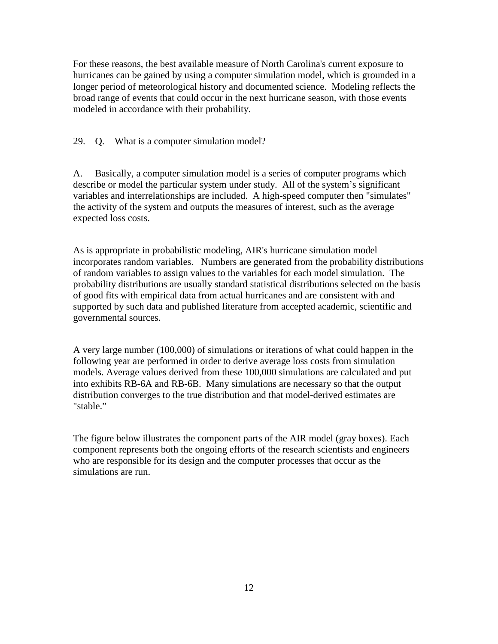For these reasons, the best available measure of North Carolina's current exposure to hurricanes can be gained by using a computer simulation model, which is grounded in a longer period of meteorological history and documented science. Modeling reflects the broad range of events that could occur in the next hurricane season, with those events modeled in accordance with their probability.

29. Q. What is a computer simulation model?

A. Basically, a computer simulation model is a series of computer programs which describe or model the particular system under study. All of the system's significant variables and interrelationships are included. A high-speed computer then "simulates" the activity of the system and outputs the measures of interest, such as the average expected loss costs.

As is appropriate in probabilistic modeling, AIR's hurricane simulation model incorporates random variables. Numbers are generated from the probability distributions of random variables to assign values to the variables for each model simulation. The probability distributions are usually standard statistical distributions selected on the basis of good fits with empirical data from actual hurricanes and are consistent with and supported by such data and published literature from accepted academic, scientific and governmental sources.

A very large number (100,000) of simulations or iterations of what could happen in the following year are performed in order to derive average loss costs from simulation models. Average values derived from these 100,000 simulations are calculated and put into exhibits RB-6A and RB-6B. Many simulations are necessary so that the output distribution converges to the true distribution and that model-derived estimates are "stable."

The figure below illustrates the component parts of the AIR model (gray boxes). Each component represents both the ongoing efforts of the research scientists and engineers who are responsible for its design and the computer processes that occur as the simulations are run.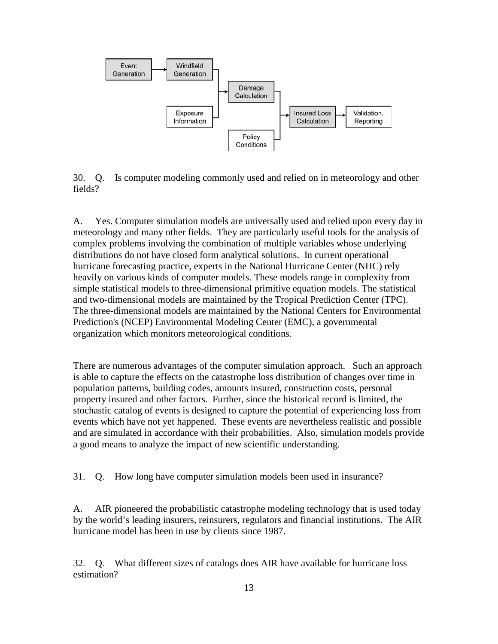

30. Q. Is computer modeling commonly used and relied on in meteorology and other fields?

A. Yes. Computer simulation models are universally used and relied upon every day in meteorology and many other fields. They are particularly useful tools for the analysis of complex problems involving the combination of multiple variables whose underlying distributions do not have closed form analytical solutions. In current operational hurricane forecasting practice, experts in the National Hurricane Center (NHC) rely heavily on various kinds of computer models. These models range in complexity from simple statistical models to three-dimensional primitive equation models. The statistical and two-dimensional models are maintained by the Tropical Prediction Center (TPC). The three-dimensional models are maintained by the National Centers for Environmental Prediction's (NCEP) Environmental Modeling Center (EMC), a governmental organization which monitors meteorological conditions.

There are numerous advantages of the computer simulation approach. Such an approach is able to capture the effects on the catastrophe loss distribution of changes over time in population patterns, building codes, amounts insured, construction costs, personal property insured and other factors. Further, since the historical record is limited, the stochastic catalog of events is designed to capture the potential of experiencing loss from events which have not yet happened. These events are nevertheless realistic and possible and are simulated in accordance with their probabilities. Also, simulation models provide a good means to analyze the impact of new scientific understanding.

31. Q. How long have computer simulation models been used in insurance?

A. AIR pioneered the probabilistic catastrophe modeling technology that is used today by the world's leading insurers, reinsurers, regulators and financial institutions. The AIR hurricane model has been in use by clients since 1987.

32. Q. What different sizes of catalogs does AIR have available for hurricane loss estimation?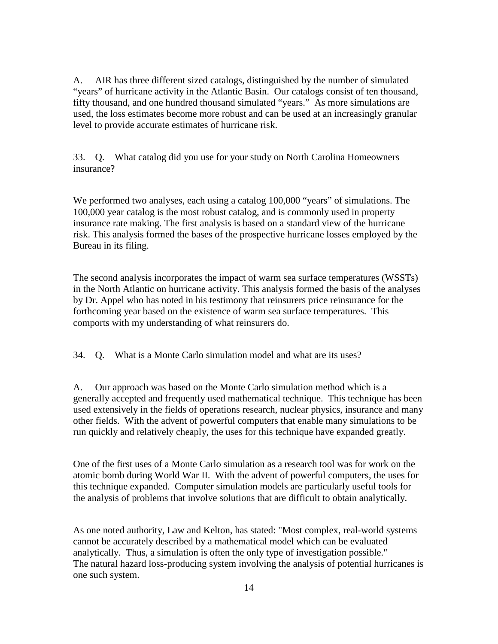A. AIR has three different sized catalogs, distinguished by the number of simulated "years" of hurricane activity in the Atlantic Basin. Our catalogs consist of ten thousand, fifty thousand, and one hundred thousand simulated "years." As more simulations are used, the loss estimates become more robust and can be used at an increasingly granular level to provide accurate estimates of hurricane risk.

33. Q. What catalog did you use for your study on North Carolina Homeowners insurance?

We performed two analyses, each using a catalog 100,000 "years" of simulations. The 100,000 year catalog is the most robust catalog, and is commonly used in property insurance rate making. The first analysis is based on a standard view of the hurricane risk. This analysis formed the bases of the prospective hurricane losses employed by the Bureau in its filing.

The second analysis incorporates the impact of warm sea surface temperatures (WSSTs) in the North Atlantic on hurricane activity. This analysis formed the basis of the analyses by Dr. Appel who has noted in his testimony that reinsurers price reinsurance for the forthcoming year based on the existence of warm sea surface temperatures. This comports with my understanding of what reinsurers do.

34. Q. What is a Monte Carlo simulation model and what are its uses?

A. Our approach was based on the Monte Carlo simulation method which is a generally accepted and frequently used mathematical technique. This technique has been used extensively in the fields of operations research, nuclear physics, insurance and many other fields. With the advent of powerful computers that enable many simulations to be run quickly and relatively cheaply, the uses for this technique have expanded greatly.

One of the first uses of a Monte Carlo simulation as a research tool was for work on the atomic bomb during World War II. With the advent of powerful computers, the uses for this technique expanded. Computer simulation models are particularly useful tools for the analysis of problems that involve solutions that are difficult to obtain analytically.

As one noted authority, Law and Kelton, has stated: "Most complex, real-world systems cannot be accurately described by a mathematical model which can be evaluated analytically. Thus, a simulation is often the only type of investigation possible." The natural hazard loss-producing system involving the analysis of potential hurricanes is one such system.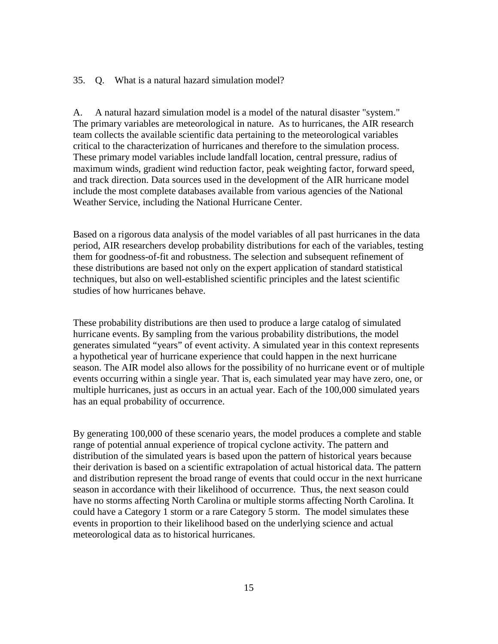35. Q. What is a natural hazard simulation model?

A. A natural hazard simulation model is a model of the natural disaster "system." The primary variables are meteorological in nature. As to hurricanes, the AIR research team collects the available scientific data pertaining to the meteorological variables critical to the characterization of hurricanes and therefore to the simulation process. These primary model variables include landfall location, central pressure, radius of maximum winds, gradient wind reduction factor, peak weighting factor, forward speed, and track direction. Data sources used in the development of the AIR hurricane model include the most complete databases available from various agencies of the National Weather Service, including the National Hurricane Center.

Based on a rigorous data analysis of the model variables of all past hurricanes in the data period, AIR researchers develop probability distributions for each of the variables, testing them for goodness-of-fit and robustness. The selection and subsequent refinement of these distributions are based not only on the expert application of standard statistical techniques, but also on well-established scientific principles and the latest scientific studies of how hurricanes behave.

These probability distributions are then used to produce a large catalog of simulated hurricane events. By sampling from the various probability distributions, the model generates simulated "years" of event activity. A simulated year in this context represents a hypothetical year of hurricane experience that could happen in the next hurricane season. The AIR model also allows for the possibility of no hurricane event or of multiple events occurring within a single year. That is, each simulated year may have zero, one, or multiple hurricanes, just as occurs in an actual year. Each of the 100,000 simulated years has an equal probability of occurrence.

By generating 100,000 of these scenario years, the model produces a complete and stable range of potential annual experience of tropical cyclone activity. The pattern and distribution of the simulated years is based upon the pattern of historical years because their derivation is based on a scientific extrapolation of actual historical data. The pattern and distribution represent the broad range of events that could occur in the next hurricane season in accordance with their likelihood of occurrence. Thus, the next season could have no storms affecting North Carolina or multiple storms affecting North Carolina. It could have a Category 1 storm or a rare Category 5 storm. The model simulates these events in proportion to their likelihood based on the underlying science and actual meteorological data as to historical hurricanes.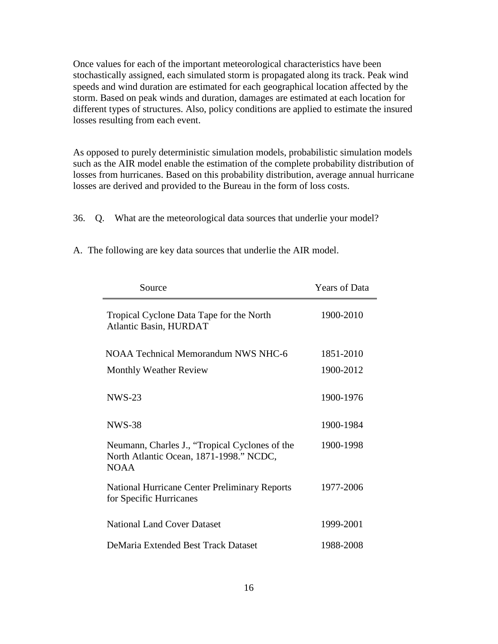Once values for each of the important meteorological characteristics have been stochastically assigned, each simulated storm is propagated along its track. Peak wind speeds and wind duration are estimated for each geographical location affected by the storm. Based on peak winds and duration, damages are estimated at each location for different types of structures. Also, policy conditions are applied to estimate the insured losses resulting from each event.

As opposed to purely deterministic simulation models, probabilistic simulation models such as the AIR model enable the estimation of the complete probability distribution of losses from hurricanes. Based on this probability distribution, average annual hurricane losses are derived and provided to the Bureau in the form of loss costs.

36. Q. What are the meteorological data sources that underlie your model?

| Source                                                                                                   | <b>Years of Data</b> |
|----------------------------------------------------------------------------------------------------------|----------------------|
| Tropical Cyclone Data Tape for the North<br><b>Atlantic Basin, HURDAT</b>                                | 1900-2010            |
| NOAA Technical Memorandum NWS NHC-6                                                                      | 1851-2010            |
| <b>Monthly Weather Review</b>                                                                            | 1900-2012            |
| $NWS-23$                                                                                                 | 1900-1976            |
| <b>NWS-38</b>                                                                                            | 1900-1984            |
| Neumann, Charles J., "Tropical Cyclones of the<br>North Atlantic Ocean, 1871-1998." NCDC,<br><b>NOAA</b> | 1900-1998            |
| <b>National Hurricane Center Preliminary Reports</b><br>for Specific Hurricanes                          | 1977-2006            |
| <b>National Land Cover Dataset</b>                                                                       | 1999-2001            |
| DeMaria Extended Best Track Dataset                                                                      | 1988-2008            |

A. The following are key data sources that underlie the AIR model.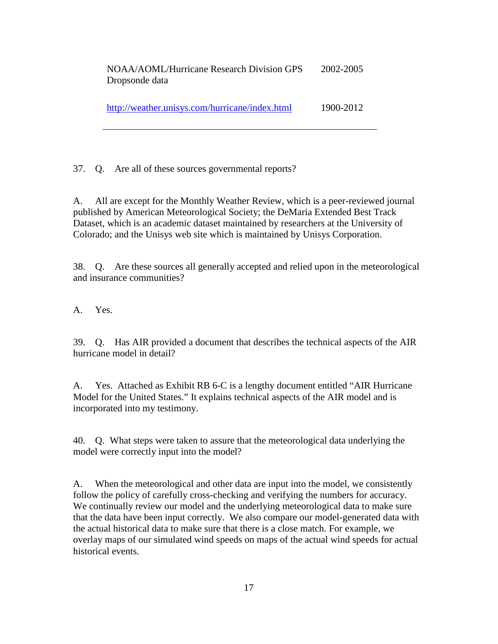NOAA/AOML/Hurricane Research Division GPS Dropsonde data 2002-2005

| http://weather.unisys.com/hurricane/index.html | 1900-2012 |
|------------------------------------------------|-----------|
|                                                |           |

37. Q. Are all of these sources governmental reports?

A. All are except for the Monthly Weather Review, which is a peer-reviewed journal published by American Meteorological Society; the DeMaria Extended Best Track Dataset, which is an academic dataset maintained by researchers at the University of Colorado; and the Unisys web site which is maintained by Unisys Corporation.

38. Q. Are these sources all generally accepted and relied upon in the meteorological and insurance communities?

A. Yes.

39. Q. Has AIR provided a document that describes the technical aspects of the AIR hurricane model in detail?

A. Yes. Attached as Exhibit RB 6-C is a lengthy document entitled "AIR Hurricane Model for the United States." It explains technical aspects of the AIR model and is incorporated into my testimony.

40. Q. What steps were taken to assure that the meteorological data underlying the model were correctly input into the model?

A. When the meteorological and other data are input into the model, we consistently follow the policy of carefully cross-checking and verifying the numbers for accuracy. We continually review our model and the underlying meteorological data to make sure that the data have been input correctly. We also compare our model-generated data with the actual historical data to make sure that there is a close match. For example, we overlay maps of our simulated wind speeds on maps of the actual wind speeds for actual historical events.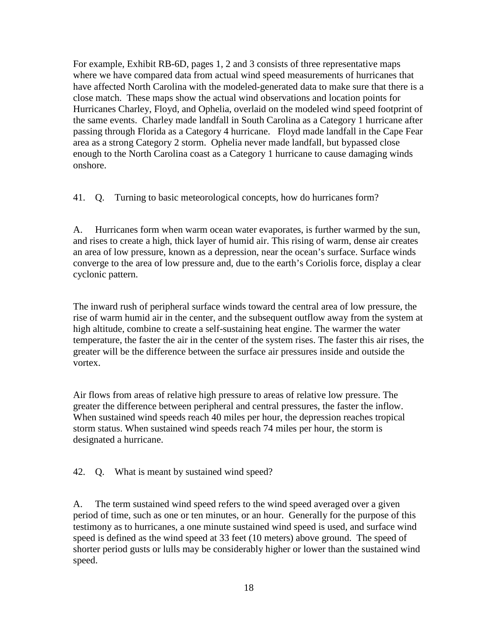For example, Exhibit RB-6D, pages 1, 2 and 3 consists of three representative maps where we have compared data from actual wind speed measurements of hurricanes that have affected North Carolina with the modeled-generated data to make sure that there is a close match. These maps show the actual wind observations and location points for Hurricanes Charley, Floyd, and Ophelia, overlaid on the modeled wind speed footprint of the same events. Charley made landfall in South Carolina as a Category 1 hurricane after passing through Florida as a Category 4 hurricane. Floyd made landfall in the Cape Fear area as a strong Category 2 storm. Ophelia never made landfall, but bypassed close enough to the North Carolina coast as a Category 1 hurricane to cause damaging winds onshore.

41. Q. Turning to basic meteorological concepts, how do hurricanes form?

A. Hurricanes form when warm ocean water evaporates, is further warmed by the sun, and rises to create a high, thick layer of humid air. This rising of warm, dense air creates an area of low pressure, known as a depression, near the ocean's surface. Surface winds converge to the area of low pressure and, due to the earth's Coriolis force, display a clear cyclonic pattern.

The inward rush of peripheral surface winds toward the central area of low pressure, the rise of warm humid air in the center, and the subsequent outflow away from the system at high altitude, combine to create a self-sustaining heat engine. The warmer the water temperature, the faster the air in the center of the system rises. The faster this air rises, the greater will be the difference between the surface air pressures inside and outside the vortex.

Air flows from areas of relative high pressure to areas of relative low pressure. The greater the difference between peripheral and central pressures, the faster the inflow. When sustained wind speeds reach 40 miles per hour, the depression reaches tropical storm status. When sustained wind speeds reach 74 miles per hour, the storm is designated a hurricane.

42. Q. What is meant by sustained wind speed?

A. The term sustained wind speed refers to the wind speed averaged over a given period of time, such as one or ten minutes, or an hour. Generally for the purpose of this testimony as to hurricanes, a one minute sustained wind speed is used, and surface wind speed is defined as the wind speed at 33 feet (10 meters) above ground. The speed of shorter period gusts or lulls may be considerably higher or lower than the sustained wind speed.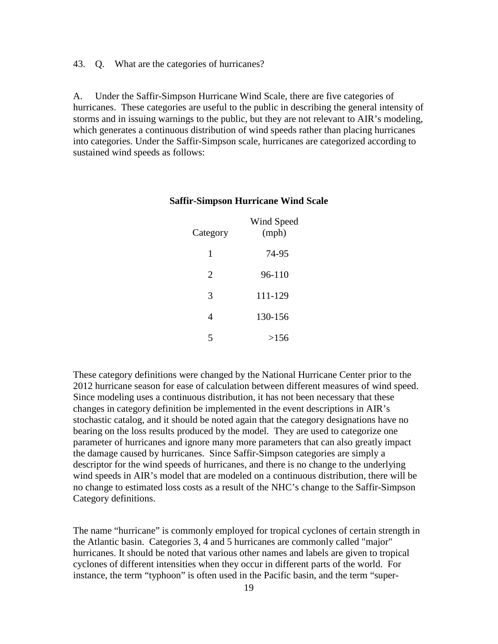43. Q. What are the categories of hurricanes?

A. Under the Saffir-Simpson Hurricane Wind Scale, there are five categories of hurricanes. These categories are useful to the public in describing the general intensity of storms and in issuing warnings to the public, but they are not relevant to AIR's modeling, which generates a continuous distribution of wind speeds rather than placing hurricanes into categories. Under the Saffir-Simpson scale, hurricanes are categorized according to sustained wind speeds as follows:

| Category | Wind Speed<br>(mph) |
|----------|---------------------|
| 1        | 74-95               |
| 2        | 96-110              |
| 3        | 111-129             |
| 4        | 130-156             |
|          | >156                |

#### **Saffir-Simpson Hurricane Wind Scale**

These category definitions were changed by the National Hurricane Center prior to the 2012 hurricane season for ease of calculation between different measures of wind speed. Since modeling uses a continuous distribution, it has not been necessary that these changes in category definition be implemented in the event descriptions in AIR's stochastic catalog, and it should be noted again that the category designations have no bearing on the loss results produced by the model. They are used to categorize one parameter of hurricanes and ignore many more parameters that can also greatly impact the damage caused by hurricanes. Since Saffir-Simpson categories are simply a descriptor for the wind speeds of hurricanes, and there is no change to the underlying wind speeds in AIR's model that are modeled on a continuous distribution, there will be no change to estimated loss costs as a result of the NHC's change to the Saffir-Simpson Category definitions.

The name "hurricane" is commonly employed for tropical cyclones of certain strength in the Atlantic basin. Categories 3, 4 and 5 hurricanes are commonly called "major" hurricanes. It should be noted that various other names and labels are given to tropical cyclones of different intensities when they occur in different parts of the world. For instance, the term "typhoon" is often used in the Pacific basin, and the term "super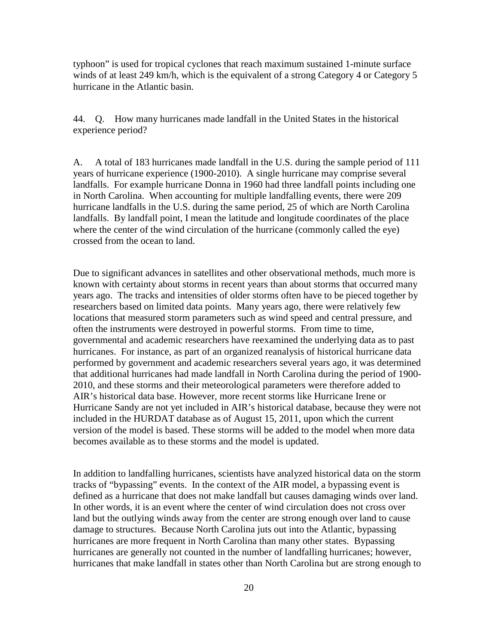typhoon" is used for tropical cyclones that reach maximum sustained 1-minute surface winds of at least 249 km/h, which is the equivalent of a strong Category 4 or Category 5 hurricane in the Atlantic basin.

44. Q. How many hurricanes made landfall in the United States in the historical experience period?

A. A total of 183 hurricanes made landfall in the U.S. during the sample period of 111 years of hurricane experience (1900-2010). A single hurricane may comprise several landfalls. For example hurricane Donna in 1960 had three landfall points including one in North Carolina. When accounting for multiple landfalling events, there were 209 hurricane landfalls in the U.S. during the same period, 25 of which are North Carolina landfalls. By landfall point, I mean the latitude and longitude coordinates of the place where the center of the wind circulation of the hurricane (commonly called the eye) crossed from the ocean to land.

Due to significant advances in satellites and other observational methods, much more is known with certainty about storms in recent years than about storms that occurred many years ago. The tracks and intensities of older storms often have to be pieced together by researchers based on limited data points. Many years ago, there were relatively few locations that measured storm parameters such as wind speed and central pressure, and often the instruments were destroyed in powerful storms. From time to time, governmental and academic researchers have reexamined the underlying data as to past hurricanes. For instance, as part of an organized reanalysis of historical hurricane data performed by government and academic researchers several years ago, it was determined that additional hurricanes had made landfall in North Carolina during the period of 1900- 2010, and these storms and their meteorological parameters were therefore added to AIR's historical data base. However, more recent storms like Hurricane Irene or Hurricane Sandy are not yet included in AIR's historical database, because they were not included in the HURDAT database as of August 15, 2011, upon which the current version of the model is based. These storms will be added to the model when more data becomes available as to these storms and the model is updated.

In addition to landfalling hurricanes, scientists have analyzed historical data on the storm tracks of "bypassing" events. In the context of the AIR model, a bypassing event is defined as a hurricane that does not make landfall but causes damaging winds over land. In other words, it is an event where the center of wind circulation does not cross over land but the outlying winds away from the center are strong enough over land to cause damage to structures. Because North Carolina juts out into the Atlantic, bypassing hurricanes are more frequent in North Carolina than many other states. Bypassing hurricanes are generally not counted in the number of landfalling hurricanes; however, hurricanes that make landfall in states other than North Carolina but are strong enough to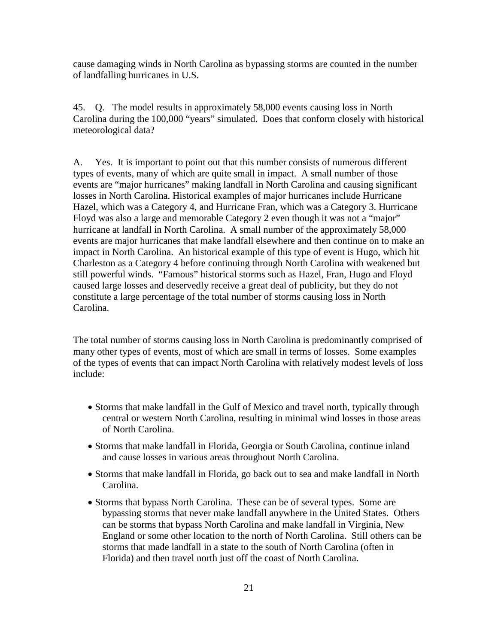cause damaging winds in North Carolina as bypassing storms are counted in the number of landfalling hurricanes in U.S.

45. Q. The model results in approximately 58,000 events causing loss in North Carolina during the 100,000 "years" simulated. Does that conform closely with historical meteorological data?

A. Yes. It is important to point out that this number consists of numerous different types of events, many of which are quite small in impact. A small number of those events are "major hurricanes" making landfall in North Carolina and causing significant losses in North Carolina. Historical examples of major hurricanes include Hurricane Hazel, which was a Category 4, and Hurricane Fran, which was a Category 3. Hurricane Floyd was also a large and memorable Category 2 even though it was not a "major" hurricane at landfall in North Carolina. A small number of the approximately 58,000 events are major hurricanes that make landfall elsewhere and then continue on to make an impact in North Carolina. An historical example of this type of event is Hugo, which hit Charleston as a Category 4 before continuing through North Carolina with weakened but still powerful winds. "Famous" historical storms such as Hazel, Fran, Hugo and Floyd caused large losses and deservedly receive a great deal of publicity, but they do not constitute a large percentage of the total number of storms causing loss in North Carolina.

The total number of storms causing loss in North Carolina is predominantly comprised of many other types of events, most of which are small in terms of losses. Some examples of the types of events that can impact North Carolina with relatively modest levels of loss include:

- Storms that make landfall in the Gulf of Mexico and travel north, typically through central or western North Carolina, resulting in minimal wind losses in those areas of North Carolina.
- Storms that make landfall in Florida, Georgia or South Carolina, continue inland and cause losses in various areas throughout North Carolina.
- Storms that make landfall in Florida, go back out to sea and make landfall in North Carolina.
- Storms that bypass North Carolina. These can be of several types. Some are bypassing storms that never make landfall anywhere in the United States. Others can be storms that bypass North Carolina and make landfall in Virginia, New England or some other location to the north of North Carolina. Still others can be storms that made landfall in a state to the south of North Carolina (often in Florida) and then travel north just off the coast of North Carolina.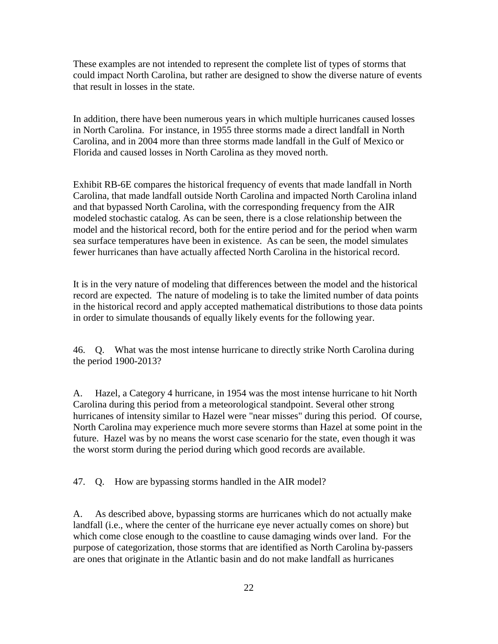These examples are not intended to represent the complete list of types of storms that could impact North Carolina, but rather are designed to show the diverse nature of events that result in losses in the state.

In addition, there have been numerous years in which multiple hurricanes caused losses in North Carolina. For instance, in 1955 three storms made a direct landfall in North Carolina, and in 2004 more than three storms made landfall in the Gulf of Mexico or Florida and caused losses in North Carolina as they moved north.

Exhibit RB-6E compares the historical frequency of events that made landfall in North Carolina, that made landfall outside North Carolina and impacted North Carolina inland and that bypassed North Carolina, with the corresponding frequency from the AIR modeled stochastic catalog. As can be seen, there is a close relationship between the model and the historical record, both for the entire period and for the period when warm sea surface temperatures have been in existence. As can be seen, the model simulates fewer hurricanes than have actually affected North Carolina in the historical record.

It is in the very nature of modeling that differences between the model and the historical record are expected. The nature of modeling is to take the limited number of data points in the historical record and apply accepted mathematical distributions to those data points in order to simulate thousands of equally likely events for the following year.

46. Q. What was the most intense hurricane to directly strike North Carolina during the period 1900-2013?

A. Hazel, a Category 4 hurricane, in 1954 was the most intense hurricane to hit North Carolina during this period from a meteorological standpoint. Several other strong hurricanes of intensity similar to Hazel were "near misses" during this period. Of course, North Carolina may experience much more severe storms than Hazel at some point in the future. Hazel was by no means the worst case scenario for the state, even though it was the worst storm during the period during which good records are available.

47. Q. How are bypassing storms handled in the AIR model?

A. As described above, bypassing storms are hurricanes which do not actually make landfall (i.e., where the center of the hurricane eye never actually comes on shore) but which come close enough to the coastline to cause damaging winds over land. For the purpose of categorization, those storms that are identified as North Carolina by-passers are ones that originate in the Atlantic basin and do not make landfall as hurricanes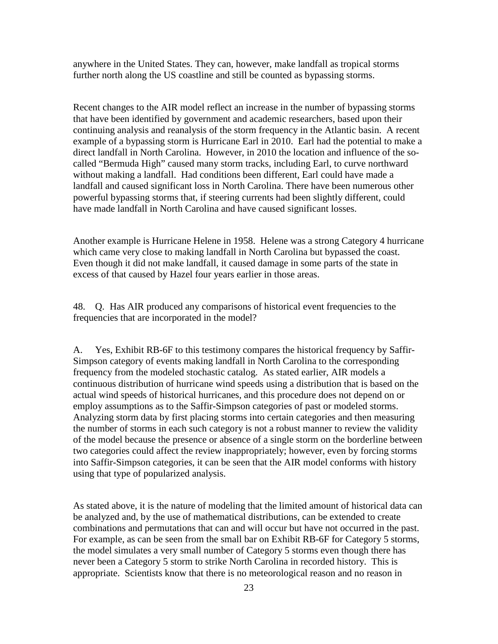anywhere in the United States. They can, however, make landfall as tropical storms further north along the US coastline and still be counted as bypassing storms.

Recent changes to the AIR model reflect an increase in the number of bypassing storms that have been identified by government and academic researchers, based upon their continuing analysis and reanalysis of the storm frequency in the Atlantic basin. A recent example of a bypassing storm is Hurricane Earl in 2010. Earl had the potential to make a direct landfall in North Carolina. However, in 2010 the location and influence of the socalled "Bermuda High" caused many storm tracks, including Earl, to curve northward without making a landfall. Had conditions been different, Earl could have made a landfall and caused significant loss in North Carolina. There have been numerous other powerful bypassing storms that, if steering currents had been slightly different, could have made landfall in North Carolina and have caused significant losses.

Another example is Hurricane Helene in 1958. Helene was a strong Category 4 hurricane which came very close to making landfall in North Carolina but bypassed the coast. Even though it did not make landfall, it caused damage in some parts of the state in excess of that caused by Hazel four years earlier in those areas.

48. Q. Has AIR produced any comparisons of historical event frequencies to the frequencies that are incorporated in the model?

A. Yes, Exhibit RB-6F to this testimony compares the historical frequency by Saffir-Simpson category of events making landfall in North Carolina to the corresponding frequency from the modeled stochastic catalog. As stated earlier, AIR models a continuous distribution of hurricane wind speeds using a distribution that is based on the actual wind speeds of historical hurricanes, and this procedure does not depend on or employ assumptions as to the Saffir-Simpson categories of past or modeled storms. Analyzing storm data by first placing storms into certain categories and then measuring the number of storms in each such category is not a robust manner to review the validity of the model because the presence or absence of a single storm on the borderline between two categories could affect the review inappropriately; however, even by forcing storms into Saffir-Simpson categories, it can be seen that the AIR model conforms with history using that type of popularized analysis.

As stated above, it is the nature of modeling that the limited amount of historical data can be analyzed and, by the use of mathematical distributions, can be extended to create combinations and permutations that can and will occur but have not occurred in the past. For example, as can be seen from the small bar on Exhibit RB-6F for Category 5 storms, the model simulates a very small number of Category 5 storms even though there has never been a Category 5 storm to strike North Carolina in recorded history. This is appropriate. Scientists know that there is no meteorological reason and no reason in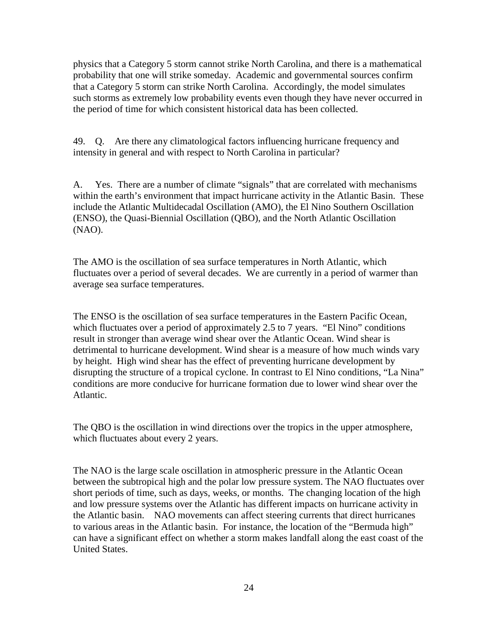physics that a Category 5 storm cannot strike North Carolina, and there is a mathematical probability that one will strike someday. Academic and governmental sources confirm that a Category 5 storm can strike North Carolina. Accordingly, the model simulates such storms as extremely low probability events even though they have never occurred in the period of time for which consistent historical data has been collected.

49. Q. Are there any climatological factors influencing hurricane frequency and intensity in general and with respect to North Carolina in particular?

A. Yes. There are a number of climate "signals" that are correlated with mechanisms within the earth's environment that impact hurricane activity in the Atlantic Basin. These include the Atlantic Multidecadal Oscillation (AMO), the El Nino Southern Oscillation (ENSO), the Quasi-Biennial Oscillation (QBO), and the North Atlantic Oscillation (NAO).

The AMO is the oscillation of sea surface temperatures in North Atlantic, which fluctuates over a period of several decades. We are currently in a period of warmer than average sea surface temperatures.

The ENSO is the oscillation of sea surface temperatures in the Eastern Pacific Ocean, which fluctuates over a period of approximately 2.5 to 7 years. "El Nino" conditions result in stronger than average wind shear over the Atlantic Ocean. Wind shear is detrimental to hurricane development. Wind shear is a measure of how much winds vary by height. High wind shear has the effect of preventing hurricane development by disrupting the structure of a tropical cyclone. In contrast to El Nino conditions, "La Nina" conditions are more conducive for hurricane formation due to lower wind shear over the Atlantic.

The QBO is the oscillation in wind directions over the tropics in the upper atmosphere, which fluctuates about every 2 years.

The NAO is the large scale oscillation in atmospheric pressure in the Atlantic Ocean between the subtropical high and the polar low pressure system. The NAO fluctuates over short periods of time, such as days, weeks, or months. The changing location of the high and low pressure systems over the Atlantic has different impacts on hurricane activity in the Atlantic basin. NAO movements can affect steering currents that direct hurricanes to various areas in the Atlantic basin. For instance, the location of the "Bermuda high" can have a significant effect on whether a storm makes landfall along the east coast of the United States.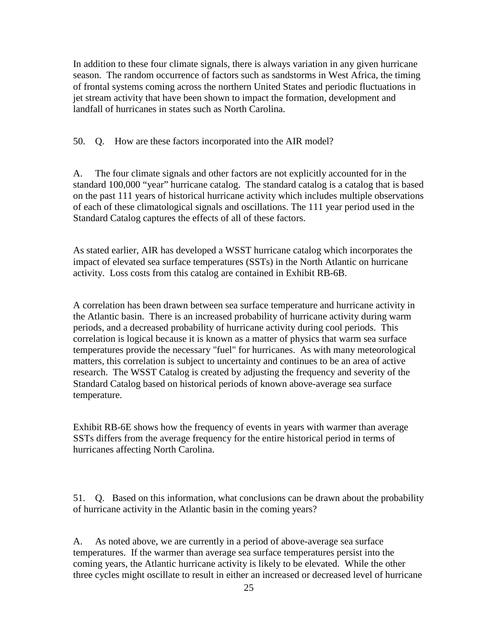In addition to these four climate signals, there is always variation in any given hurricane season. The random occurrence of factors such as sandstorms in West Africa, the timing of frontal systems coming across the northern United States and periodic fluctuations in jet stream activity that have been shown to impact the formation, development and landfall of hurricanes in states such as North Carolina.

50. Q. How are these factors incorporated into the AIR model?

A. The four climate signals and other factors are not explicitly accounted for in the standard 100,000 "year" hurricane catalog. The standard catalog is a catalog that is based on the past 111 years of historical hurricane activity which includes multiple observations of each of these climatological signals and oscillations. The 111 year period used in the Standard Catalog captures the effects of all of these factors.

As stated earlier, AIR has developed a WSST hurricane catalog which incorporates the impact of elevated sea surface temperatures (SSTs) in the North Atlantic on hurricane activity. Loss costs from this catalog are contained in Exhibit RB-6B.

A correlation has been drawn between sea surface temperature and hurricane activity in the Atlantic basin. There is an increased probability of hurricane activity during warm periods, and a decreased probability of hurricane activity during cool periods. This correlation is logical because it is known as a matter of physics that warm sea surface temperatures provide the necessary "fuel" for hurricanes. As with many meteorological matters, this correlation is subject to uncertainty and continues to be an area of active research. The WSST Catalog is created by adjusting the frequency and severity of the Standard Catalog based on historical periods of known above-average sea surface temperature.

Exhibit RB-6E shows how the frequency of events in years with warmer than average SSTs differs from the average frequency for the entire historical period in terms of hurricanes affecting North Carolina.

51. Q. Based on this information, what conclusions can be drawn about the probability of hurricane activity in the Atlantic basin in the coming years?

A. As noted above, we are currently in a period of above-average sea surface temperatures. If the warmer than average sea surface temperatures persist into the coming years, the Atlantic hurricane activity is likely to be elevated. While the other three cycles might oscillate to result in either an increased or decreased level of hurricane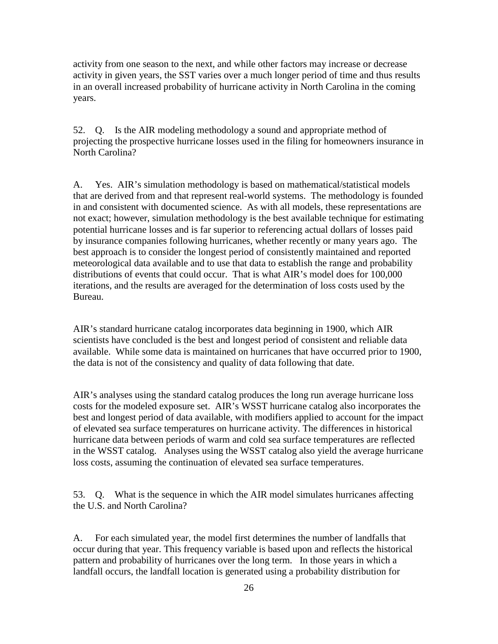activity from one season to the next, and while other factors may increase or decrease activity in given years, the SST varies over a much longer period of time and thus results in an overall increased probability of hurricane activity in North Carolina in the coming years.

52. Q. Is the AIR modeling methodology a sound and appropriate method of projecting the prospective hurricane losses used in the filing for homeowners insurance in North Carolina?

A. Yes. AIR's simulation methodology is based on mathematical/statistical models that are derived from and that represent real-world systems. The methodology is founded in and consistent with documented science. As with all models, these representations are not exact; however, simulation methodology is the best available technique for estimating potential hurricane losses and is far superior to referencing actual dollars of losses paid by insurance companies following hurricanes, whether recently or many years ago. The best approach is to consider the longest period of consistently maintained and reported meteorological data available and to use that data to establish the range and probability distributions of events that could occur. That is what AIR's model does for 100,000 iterations, and the results are averaged for the determination of loss costs used by the Bureau.

AIR's standard hurricane catalog incorporates data beginning in 1900, which AIR scientists have concluded is the best and longest period of consistent and reliable data available. While some data is maintained on hurricanes that have occurred prior to 1900, the data is not of the consistency and quality of data following that date.

AIR's analyses using the standard catalog produces the long run average hurricane loss costs for the modeled exposure set. AIR's WSST hurricane catalog also incorporates the best and longest period of data available, with modifiers applied to account for the impact of elevated sea surface temperatures on hurricane activity. The differences in historical hurricane data between periods of warm and cold sea surface temperatures are reflected in the WSST catalog. Analyses using the WSST catalog also yield the average hurricane loss costs, assuming the continuation of elevated sea surface temperatures.

53. Q. What is the sequence in which the AIR model simulates hurricanes affecting the U.S. and North Carolina?

A. For each simulated year, the model first determines the number of landfalls that occur during that year. This frequency variable is based upon and reflects the historical pattern and probability of hurricanes over the long term. In those years in which a landfall occurs, the landfall location is generated using a probability distribution for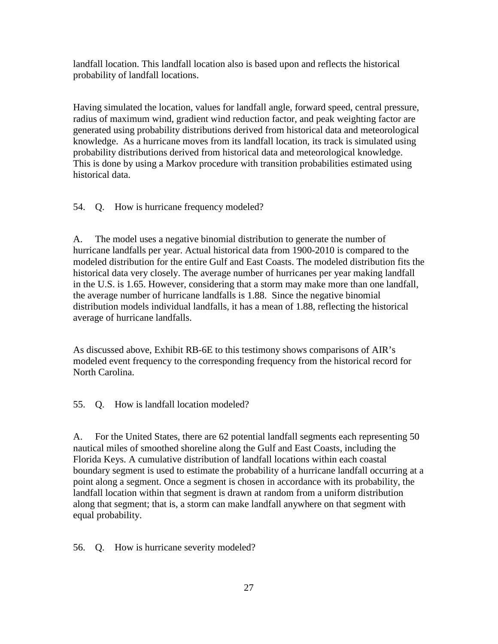landfall location. This landfall location also is based upon and reflects the historical probability of landfall locations.

Having simulated the location, values for landfall angle, forward speed, central pressure, radius of maximum wind, gradient wind reduction factor, and peak weighting factor are generated using probability distributions derived from historical data and meteorological knowledge. As a hurricane moves from its landfall location, its track is simulated using probability distributions derived from historical data and meteorological knowledge. This is done by using a Markov procedure with transition probabilities estimated using historical data.

54. Q. How is hurricane frequency modeled?

A. The model uses a negative binomial distribution to generate the number of hurricane landfalls per year. Actual historical data from 1900-2010 is compared to the modeled distribution for the entire Gulf and East Coasts. The modeled distribution fits the historical data very closely. The average number of hurricanes per year making landfall in the U.S. is 1.65. However, considering that a storm may make more than one landfall, the average number of hurricane landfalls is 1.88. Since the negative binomial distribution models individual landfalls, it has a mean of 1.88, reflecting the historical average of hurricane landfalls.

As discussed above, Exhibit RB-6E to this testimony shows comparisons of AIR's modeled event frequency to the corresponding frequency from the historical record for North Carolina.

55. Q. How is landfall location modeled?

A. For the United States, there are 62 potential landfall segments each representing 50 nautical miles of smoothed shoreline along the Gulf and East Coasts, including the Florida Keys. A cumulative distribution of landfall locations within each coastal boundary segment is used to estimate the probability of a hurricane landfall occurring at a point along a segment. Once a segment is chosen in accordance with its probability, the landfall location within that segment is drawn at random from a uniform distribution along that segment; that is, a storm can make landfall anywhere on that segment with equal probability.

56. Q. How is hurricane severity modeled?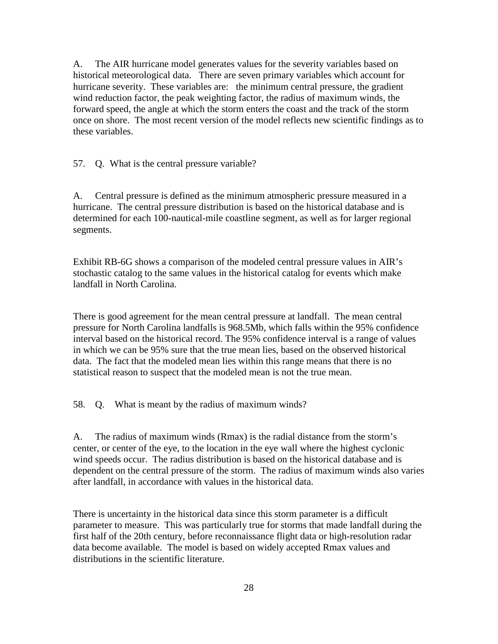A. The AIR hurricane model generates values for the severity variables based on historical meteorological data. There are seven primary variables which account for hurricane severity. These variables are: the minimum central pressure, the gradient wind reduction factor, the peak weighting factor, the radius of maximum winds, the forward speed, the angle at which the storm enters the coast and the track of the storm once on shore. The most recent version of the model reflects new scientific findings as to these variables.

57. Q. What is the central pressure variable?

A. Central pressure is defined as the minimum atmospheric pressure measured in a hurricane. The central pressure distribution is based on the historical database and is determined for each 100-nautical-mile coastline segment, as well as for larger regional segments.

Exhibit RB-6G shows a comparison of the modeled central pressure values in AIR's stochastic catalog to the same values in the historical catalog for events which make landfall in North Carolina.

There is good agreement for the mean central pressure at landfall. The mean central pressure for North Carolina landfalls is 968.5Mb, which falls within the 95% confidence interval based on the historical record. The 95% confidence interval is a range of values in which we can be 95% sure that the true mean lies, based on the observed historical data. The fact that the modeled mean lies within this range means that there is no statistical reason to suspect that the modeled mean is not the true mean.

58. Q. What is meant by the radius of maximum winds?

A. The radius of maximum winds (Rmax) is the radial distance from the storm's center, or center of the eye, to the location in the eye wall where the highest cyclonic wind speeds occur. The radius distribution is based on the historical database and is dependent on the central pressure of the storm. The radius of maximum winds also varies after landfall, in accordance with values in the historical data.

There is uncertainty in the historical data since this storm parameter is a difficult parameter to measure. This was particularly true for storms that made landfall during the first half of the 20th century, before reconnaissance flight data or high-resolution radar data become available. The model is based on widely accepted Rmax values and distributions in the scientific literature.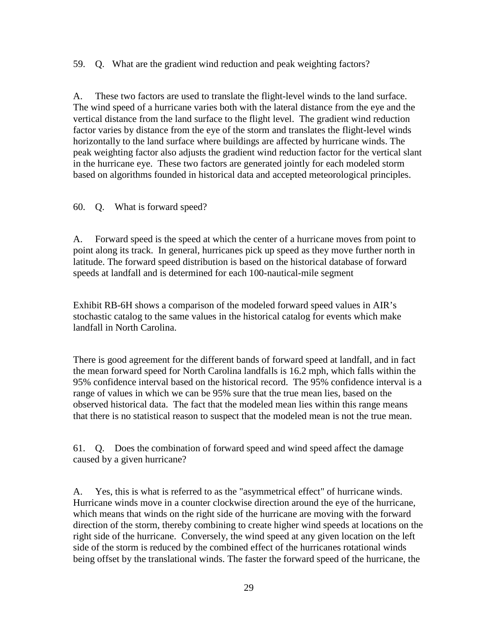59. Q. What are the gradient wind reduction and peak weighting factors?

A. These two factors are used to translate the flight-level winds to the land surface. The wind speed of a hurricane varies both with the lateral distance from the eye and the vertical distance from the land surface to the flight level. The gradient wind reduction factor varies by distance from the eye of the storm and translates the flight-level winds horizontally to the land surface where buildings are affected by hurricane winds. The peak weighting factor also adjusts the gradient wind reduction factor for the vertical slant in the hurricane eye. These two factors are generated jointly for each modeled storm based on algorithms founded in historical data and accepted meteorological principles.

60. Q. What is forward speed?

A. Forward speed is the speed at which the center of a hurricane moves from point to point along its track. In general, hurricanes pick up speed as they move further north in latitude. The forward speed distribution is based on the historical database of forward speeds at landfall and is determined for each 100-nautical-mile segment

Exhibit RB-6H shows a comparison of the modeled forward speed values in AIR's stochastic catalog to the same values in the historical catalog for events which make landfall in North Carolina.

There is good agreement for the different bands of forward speed at landfall, and in fact the mean forward speed for North Carolina landfalls is 16.2 mph, which falls within the 95% confidence interval based on the historical record. The 95% confidence interval is a range of values in which we can be 95% sure that the true mean lies, based on the observed historical data. The fact that the modeled mean lies within this range means that there is no statistical reason to suspect that the modeled mean is not the true mean.

61. Q. Does the combination of forward speed and wind speed affect the damage caused by a given hurricane?

A. Yes, this is what is referred to as the "asymmetrical effect" of hurricane winds. Hurricane winds move in a counter clockwise direction around the eye of the hurricane, which means that winds on the right side of the hurricane are moving with the forward direction of the storm, thereby combining to create higher wind speeds at locations on the right side of the hurricane. Conversely, the wind speed at any given location on the left side of the storm is reduced by the combined effect of the hurricanes rotational winds being offset by the translational winds. The faster the forward speed of the hurricane, the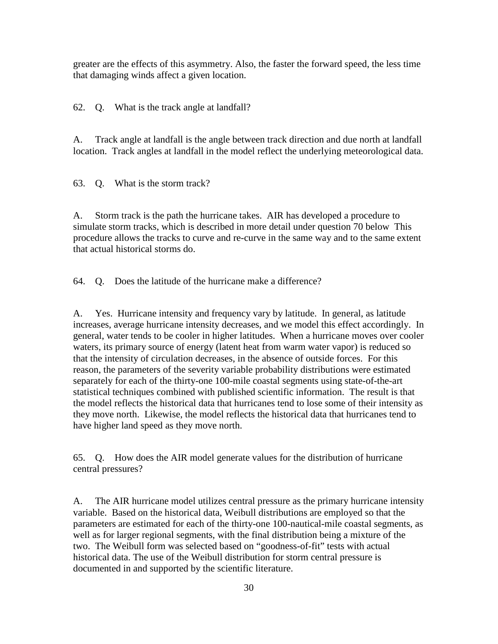greater are the effects of this asymmetry. Also, the faster the forward speed, the less time that damaging winds affect a given location.

62. Q. What is the track angle at landfall?

A. Track angle at landfall is the angle between track direction and due north at landfall location. Track angles at landfall in the model reflect the underlying meteorological data.

63. Q. What is the storm track?

A. Storm track is the path the hurricane takes. AIR has developed a procedure to simulate storm tracks, which is described in more detail under question 70 below This procedure allows the tracks to curve and re-curve in the same way and to the same extent that actual historical storms do.

64. Q. Does the latitude of the hurricane make a difference?

A. Yes. Hurricane intensity and frequency vary by latitude. In general, as latitude increases, average hurricane intensity decreases, and we model this effect accordingly. In general, water tends to be cooler in higher latitudes. When a hurricane moves over cooler waters, its primary source of energy (latent heat from warm water vapor) is reduced so that the intensity of circulation decreases, in the absence of outside forces. For this reason, the parameters of the severity variable probability distributions were estimated separately for each of the thirty-one 100-mile coastal segments using state-of-the-art statistical techniques combined with published scientific information. The result is that the model reflects the historical data that hurricanes tend to lose some of their intensity as they move north. Likewise, the model reflects the historical data that hurricanes tend to have higher land speed as they move north.

65. Q. How does the AIR model generate values for the distribution of hurricane central pressures?

A. The AIR hurricane model utilizes central pressure as the primary hurricane intensity variable. Based on the historical data, Weibull distributions are employed so that the parameters are estimated for each of the thirty-one 100-nautical-mile coastal segments, as well as for larger regional segments, with the final distribution being a mixture of the two. The Weibull form was selected based on "goodness-of-fit" tests with actual historical data. The use of the Weibull distribution for storm central pressure is documented in and supported by the scientific literature.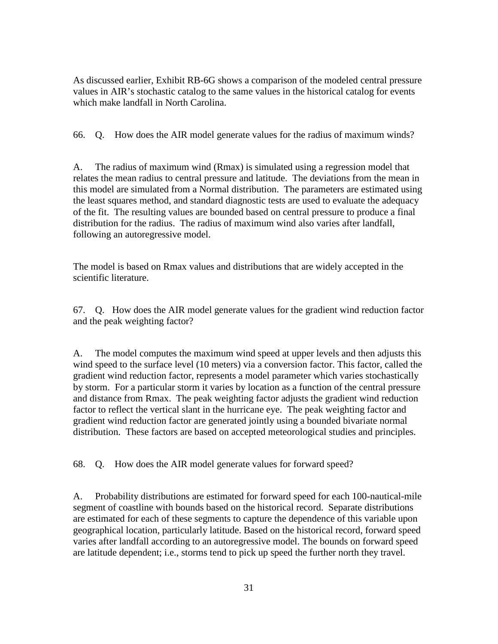As discussed earlier, Exhibit RB-6G shows a comparison of the modeled central pressure values in AIR's stochastic catalog to the same values in the historical catalog for events which make landfall in North Carolina.

66. Q. How does the AIR model generate values for the radius of maximum winds?

A. The radius of maximum wind (Rmax) is simulated using a regression model that relates the mean radius to central pressure and latitude. The deviations from the mean in this model are simulated from a Normal distribution. The parameters are estimated using the least squares method, and standard diagnostic tests are used to evaluate the adequacy of the fit. The resulting values are bounded based on central pressure to produce a final distribution for the radius. The radius of maximum wind also varies after landfall, following an autoregressive model.

The model is based on Rmax values and distributions that are widely accepted in the scientific literature.

67. Q. How does the AIR model generate values for the gradient wind reduction factor and the peak weighting factor?

A. The model computes the maximum wind speed at upper levels and then adjusts this wind speed to the surface level (10 meters) via a conversion factor. This factor, called the gradient wind reduction factor, represents a model parameter which varies stochastically by storm. For a particular storm it varies by location as a function of the central pressure and distance from Rmax. The peak weighting factor adjusts the gradient wind reduction factor to reflect the vertical slant in the hurricane eye. The peak weighting factor and gradient wind reduction factor are generated jointly using a bounded bivariate normal distribution. These factors are based on accepted meteorological studies and principles.

68. Q. How does the AIR model generate values for forward speed?

A. Probability distributions are estimated for forward speed for each 100-nautical-mile segment of coastline with bounds based on the historical record. Separate distributions are estimated for each of these segments to capture the dependence of this variable upon geographical location, particularly latitude. Based on the historical record, forward speed varies after landfall according to an autoregressive model. The bounds on forward speed are latitude dependent; i.e., storms tend to pick up speed the further north they travel.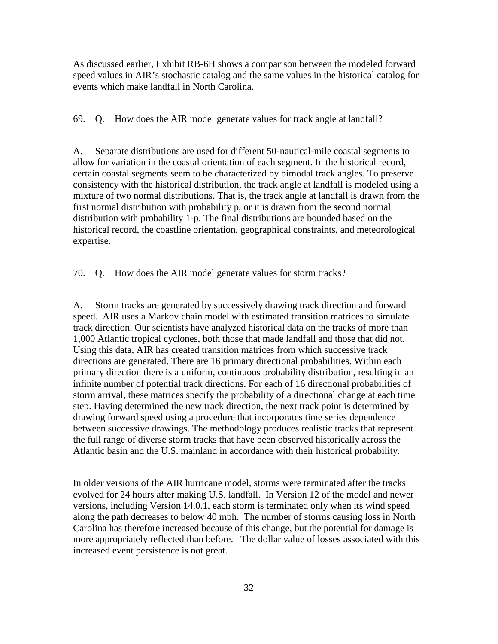As discussed earlier, Exhibit RB-6H shows a comparison between the modeled forward speed values in AIR's stochastic catalog and the same values in the historical catalog for events which make landfall in North Carolina.

69. Q. How does the AIR model generate values for track angle at landfall?

A. Separate distributions are used for different 50-nautical-mile coastal segments to allow for variation in the coastal orientation of each segment. In the historical record, certain coastal segments seem to be characterized by bimodal track angles. To preserve consistency with the historical distribution, the track angle at landfall is modeled using a mixture of two normal distributions. That is, the track angle at landfall is drawn from the first normal distribution with probability p, or it is drawn from the second normal distribution with probability 1-p. The final distributions are bounded based on the historical record, the coastline orientation, geographical constraints, and meteorological expertise.

70. Q. How does the AIR model generate values for storm tracks?

A. Storm tracks are generated by successively drawing track direction and forward speed. AIR uses a Markov chain model with estimated transition matrices to simulate track direction. Our scientists have analyzed historical data on the tracks of more than 1,000 Atlantic tropical cyclones, both those that made landfall and those that did not. Using this data, AIR has created transition matrices from which successive track directions are generated. There are 16 primary directional probabilities. Within each primary direction there is a uniform, continuous probability distribution, resulting in an infinite number of potential track directions. For each of 16 directional probabilities of storm arrival, these matrices specify the probability of a directional change at each time step. Having determined the new track direction, the next track point is determined by drawing forward speed using a procedure that incorporates time series dependence between successive drawings. The methodology produces realistic tracks that represent the full range of diverse storm tracks that have been observed historically across the Atlantic basin and the U.S. mainland in accordance with their historical probability.

In older versions of the AIR hurricane model, storms were terminated after the tracks evolved for 24 hours after making U.S. landfall. In Version 12 of the model and newer versions, including Version 14.0.1, each storm is terminated only when its wind speed along the path decreases to below 40 mph. The number of storms causing loss in North Carolina has therefore increased because of this change, but the potential for damage is more appropriately reflected than before. The dollar value of losses associated with this increased event persistence is not great.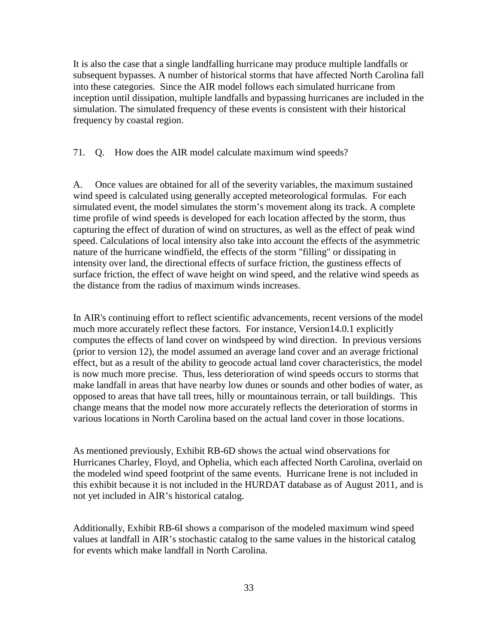It is also the case that a single landfalling hurricane may produce multiple landfalls or subsequent bypasses. A number of historical storms that have affected North Carolina fall into these categories. Since the AIR model follows each simulated hurricane from inception until dissipation, multiple landfalls and bypassing hurricanes are included in the simulation. The simulated frequency of these events is consistent with their historical frequency by coastal region.

71. Q. How does the AIR model calculate maximum wind speeds?

A. Once values are obtained for all of the severity variables, the maximum sustained wind speed is calculated using generally accepted meteorological formulas. For each simulated event, the model simulates the storm's movement along its track. A complete time profile of wind speeds is developed for each location affected by the storm, thus capturing the effect of duration of wind on structures, as well as the effect of peak wind speed. Calculations of local intensity also take into account the effects of the asymmetric nature of the hurricane windfield, the effects of the storm "filling" or dissipating in intensity over land, the directional effects of surface friction, the gustiness effects of surface friction, the effect of wave height on wind speed, and the relative wind speeds as the distance from the radius of maximum winds increases.

In AIR's continuing effort to reflect scientific advancements, recent versions of the model much more accurately reflect these factors. For instance, Version14.0.1 explicitly computes the effects of land cover on windspeed by wind direction. In previous versions (prior to version 12), the model assumed an average land cover and an average frictional effect, but as a result of the ability to geocode actual land cover characteristics, the model is now much more precise. Thus, less deterioration of wind speeds occurs to storms that make landfall in areas that have nearby low dunes or sounds and other bodies of water, as opposed to areas that have tall trees, hilly or mountainous terrain, or tall buildings. This change means that the model now more accurately reflects the deterioration of storms in various locations in North Carolina based on the actual land cover in those locations.

As mentioned previously, Exhibit RB-6D shows the actual wind observations for Hurricanes Charley, Floyd, and Ophelia, which each affected North Carolina, overlaid on the modeled wind speed footprint of the same events. Hurricane Irene is not included in this exhibit because it is not included in the HURDAT database as of August 2011, and is not yet included in AIR's historical catalog.

Additionally, Exhibit RB-6I shows a comparison of the modeled maximum wind speed values at landfall in AIR's stochastic catalog to the same values in the historical catalog for events which make landfall in North Carolina.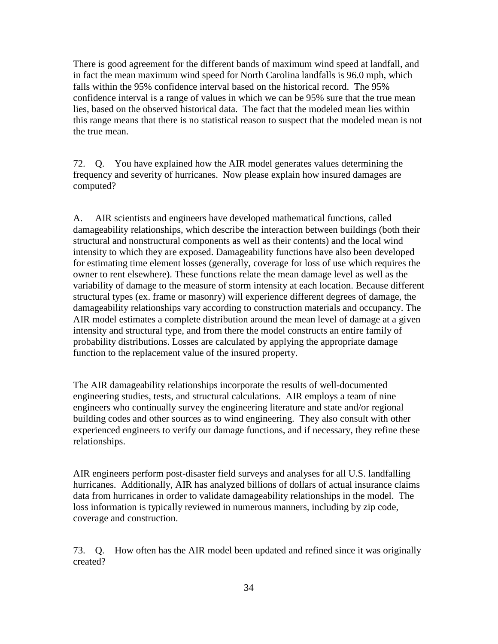There is good agreement for the different bands of maximum wind speed at landfall, and in fact the mean maximum wind speed for North Carolina landfalls is 96.0 mph, which falls within the 95% confidence interval based on the historical record. The 95% confidence interval is a range of values in which we can be 95% sure that the true mean lies, based on the observed historical data. The fact that the modeled mean lies within this range means that there is no statistical reason to suspect that the modeled mean is not the true mean.

72. Q. You have explained how the AIR model generates values determining the frequency and severity of hurricanes. Now please explain how insured damages are computed?

A. AIR scientists and engineers have developed mathematical functions, called damageability relationships, which describe the interaction between buildings (both their structural and nonstructural components as well as their contents) and the local wind intensity to which they are exposed. Damageability functions have also been developed for estimating time element losses (generally, coverage for loss of use which requires the owner to rent elsewhere). These functions relate the mean damage level as well as the variability of damage to the measure of storm intensity at each location. Because different structural types (ex. frame or masonry) will experience different degrees of damage, the damageability relationships vary according to construction materials and occupancy. The AIR model estimates a complete distribution around the mean level of damage at a given intensity and structural type, and from there the model constructs an entire family of probability distributions. Losses are calculated by applying the appropriate damage function to the replacement value of the insured property.

The AIR damageability relationships incorporate the results of well-documented engineering studies, tests, and structural calculations. AIR employs a team of nine engineers who continually survey the engineering literature and state and/or regional building codes and other sources as to wind engineering. They also consult with other experienced engineers to verify our damage functions, and if necessary, they refine these relationships.

AIR engineers perform post-disaster field surveys and analyses for all U.S. landfalling hurricanes. Additionally, AIR has analyzed billions of dollars of actual insurance claims data from hurricanes in order to validate damageability relationships in the model. The loss information is typically reviewed in numerous manners, including by zip code, coverage and construction.

73. Q. How often has the AIR model been updated and refined since it was originally created?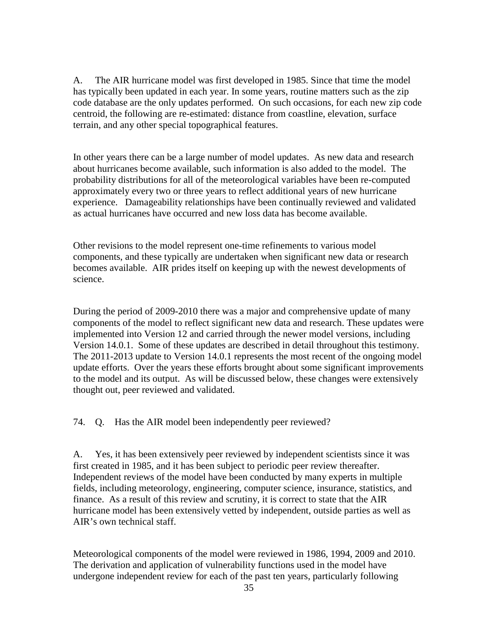A. The AIR hurricane model was first developed in 1985. Since that time the model has typically been updated in each year. In some years, routine matters such as the zip code database are the only updates performed. On such occasions, for each new zip code centroid, the following are re-estimated: distance from coastline, elevation, surface terrain, and any other special topographical features.

In other years there can be a large number of model updates. As new data and research about hurricanes become available, such information is also added to the model. The probability distributions for all of the meteorological variables have been re-computed approximately every two or three years to reflect additional years of new hurricane experience. Damageability relationships have been continually reviewed and validated as actual hurricanes have occurred and new loss data has become available.

Other revisions to the model represent one-time refinements to various model components, and these typically are undertaken when significant new data or research becomes available. AIR prides itself on keeping up with the newest developments of science.

During the period of 2009-2010 there was a major and comprehensive update of many components of the model to reflect significant new data and research. These updates were implemented into Version 12 and carried through the newer model versions, including Version 14.0.1. Some of these updates are described in detail throughout this testimony. The 2011-2013 update to Version 14.0.1 represents the most recent of the ongoing model update efforts. Over the years these efforts brought about some significant improvements to the model and its output. As will be discussed below, these changes were extensively thought out, peer reviewed and validated.

74. Q. Has the AIR model been independently peer reviewed?

A. Yes, it has been extensively peer reviewed by independent scientists since it was first created in 1985, and it has been subject to periodic peer review thereafter. Independent reviews of the model have been conducted by many experts in multiple fields, including meteorology, engineering, computer science, insurance, statistics, and finance. As a result of this review and scrutiny, it is correct to state that the AIR hurricane model has been extensively vetted by independent, outside parties as well as AIR's own technical staff.

Meteorological components of the model were reviewed in 1986, 1994, 2009 and 2010. The derivation and application of vulnerability functions used in the model have undergone independent review for each of the past ten years, particularly following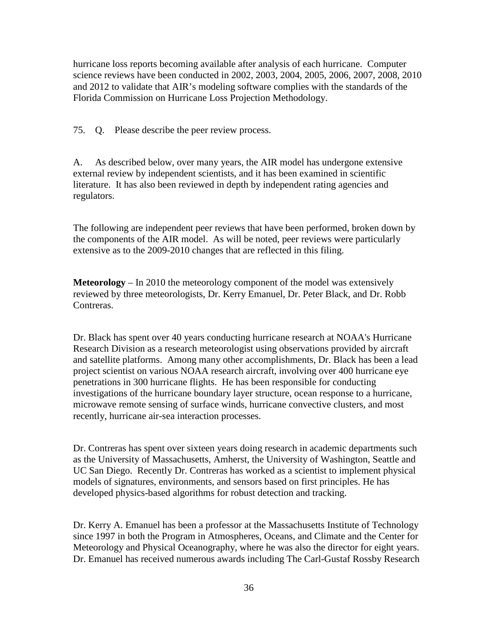hurricane loss reports becoming available after analysis of each hurricane. Computer science reviews have been conducted in 2002, 2003, 2004, 2005, 2006, 2007, 2008, 2010 and 2012 to validate that AIR's modeling software complies with the standards of the Florida Commission on Hurricane Loss Projection Methodology.

75. Q. Please describe the peer review process.

A. As described below, over many years, the AIR model has undergone extensive external review by independent scientists, and it has been examined in scientific literature. It has also been reviewed in depth by independent rating agencies and regulators.

The following are independent peer reviews that have been performed, broken down by the components of the AIR model. As will be noted, peer reviews were particularly extensive as to the 2009-2010 changes that are reflected in this filing.

**Meteorology** – In 2010 the meteorology component of the model was extensively reviewed by three meteorologists, Dr. Kerry Emanuel, Dr. Peter Black, and Dr. Robb Contreras.

Dr. Black has spent over 40 years conducting hurricane research at NOAA's Hurricane Research Division as a research meteorologist using observations provided by aircraft and satellite platforms. Among many other accomplishments, Dr. Black has been a lead project scientist on various NOAA research aircraft, involving over 400 hurricane eye penetrations in 300 hurricane flights. He has been responsible for conducting investigations of the hurricane boundary layer structure, ocean response to a hurricane, microwave remote sensing of surface winds, hurricane convective clusters, and most recently, hurricane air-sea interaction processes.

Dr. Contreras has spent over sixteen years doing research in academic departments such as the University of Massachusetts, Amherst, the University of Washington, Seattle and UC San Diego. Recently Dr. Contreras has worked as a scientist to implement physical models of signatures, environments, and sensors based on first principles. He has developed physics-based algorithms for robust detection and tracking.

Dr. Kerry A. Emanuel has been a professor at the Massachusetts Institute of Technology since 1997 in both the Program in Atmospheres, Oceans, and Climate and the Center for Meteorology and Physical Oceanography, where he was also the director for eight years. Dr. Emanuel has received numerous awards including The Carl-Gustaf Rossby Research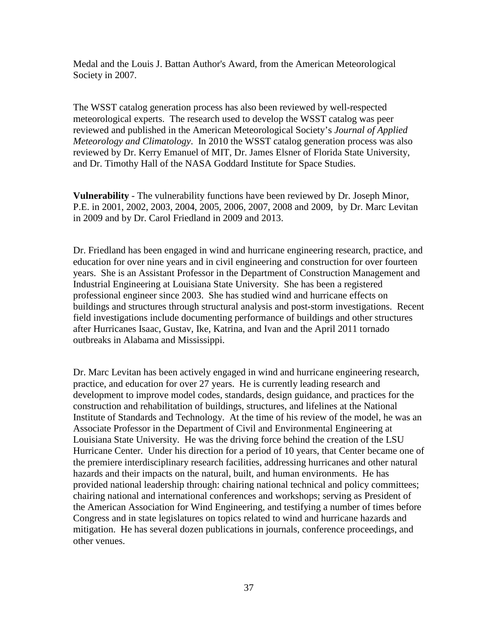Medal and the Louis J. Battan Author's Award, from the American Meteorological Society in 2007.

The WSST catalog generation process has also been reviewed by well-respected meteorological experts. The research used to develop the WSST catalog was peer reviewed and published in the American Meteorological Society's *Journal of Applied Meteorology and Climatology*. In 2010 the WSST catalog generation process was also reviewed by Dr. Kerry Emanuel of MIT, Dr. James Elsner of Florida State University, and Dr. Timothy Hall of the NASA Goddard Institute for Space Studies.

**Vulnerability** - The vulnerability functions have been reviewed by Dr. Joseph Minor, P.E. in 2001, 2002, 2003, 2004, 2005, 2006, 2007, 2008 and 2009, by Dr. Marc Levitan in 2009 and by Dr. Carol Friedland in 2009 and 2013.

Dr. Friedland has been engaged in wind and hurricane engineering research, practice, and education for over nine years and in civil engineering and construction for over fourteen years. She is an Assistant Professor in the Department of Construction Management and Industrial Engineering at Louisiana State University. She has been a registered professional engineer since 2003. She has studied wind and hurricane effects on buildings and structures through structural analysis and post-storm investigations. Recent field investigations include documenting performance of buildings and other structures after Hurricanes Isaac, Gustav, Ike, Katrina, and Ivan and the April 2011 tornado outbreaks in Alabama and Mississippi.

Dr. Marc Levitan has been actively engaged in wind and hurricane engineering research, practice, and education for over 27 years. He is currently leading research and development to improve model codes, standards, design guidance, and practices for the construction and rehabilitation of buildings, structures, and lifelines at the National Institute of Standards and Technology. At the time of his review of the model, he was an Associate Professor in the Department of Civil and Environmental Engineering at Louisiana State University. He was the driving force behind the creation of the LSU Hurricane Center. Under his direction for a period of 10 years, that Center became one of the premiere interdisciplinary research facilities, addressing hurricanes and other natural hazards and their impacts on the natural, built, and human environments. He has provided national leadership through: chairing national technical and policy committees; chairing national and international conferences and workshops; serving as President of the American Association for Wind Engineering, and testifying a number of times before Congress and in state legislatures on topics related to wind and hurricane hazards and mitigation. He has several dozen publications in journals, conference proceedings, and other venues.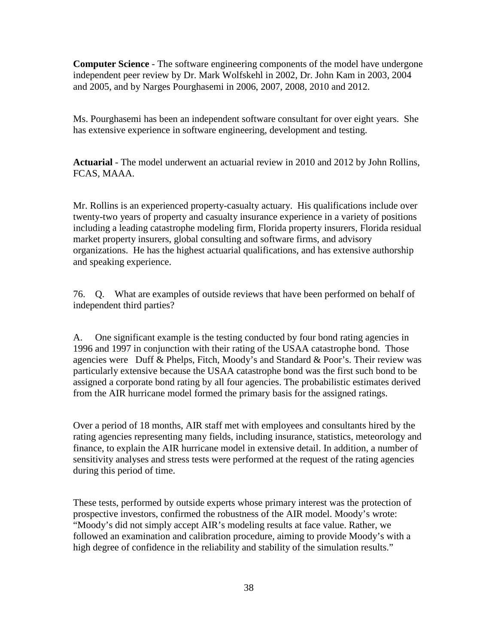**Computer Science** - The software engineering components of the model have undergone independent peer review by Dr. Mark Wolfskehl in 2002, Dr. John Kam in 2003, 2004 and 2005, and by Narges Pourghasemi in 2006, 2007, 2008, 2010 and 2012.

Ms. Pourghasemi has been an independent software consultant for over eight years. She has extensive experience in software engineering, development and testing.

**Actuarial** - The model underwent an actuarial review in 2010 and 2012 by John Rollins, FCAS, MAAA.

Mr. Rollins is an experienced property-casualty actuary. His qualifications include over twenty-two years of property and casualty insurance experience in a variety of positions including a leading catastrophe modeling firm, Florida property insurers, Florida residual market property insurers, global consulting and software firms, and advisory organizations. He has the highest actuarial qualifications, and has extensive authorship and speaking experience.

76. Q. What are examples of outside reviews that have been performed on behalf of independent third parties?

A. One significant example is the testing conducted by four bond rating agencies in 1996 and 1997 in conjunction with their rating of the USAA catastrophe bond. Those agencies were Duff & Phelps, Fitch, Moody's and Standard & Poor's. Their review was particularly extensive because the USAA catastrophe bond was the first such bond to be assigned a corporate bond rating by all four agencies. The probabilistic estimates derived from the AIR hurricane model formed the primary basis for the assigned ratings.

Over a period of 18 months, AIR staff met with employees and consultants hired by the rating agencies representing many fields, including insurance, statistics, meteorology and finance, to explain the AIR hurricane model in extensive detail. In addition, a number of sensitivity analyses and stress tests were performed at the request of the rating agencies during this period of time.

These tests, performed by outside experts whose primary interest was the protection of prospective investors, confirmed the robustness of the AIR model. Moody's wrote: "Moody's did not simply accept AIR's modeling results at face value. Rather, we followed an examination and calibration procedure, aiming to provide Moody's with a high degree of confidence in the reliability and stability of the simulation results."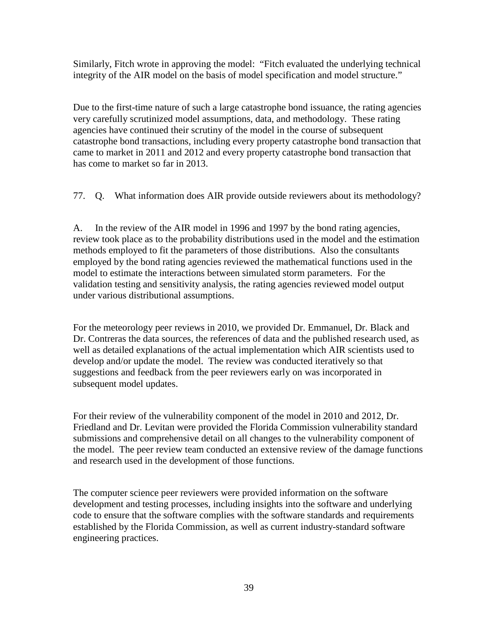Similarly, Fitch wrote in approving the model: "Fitch evaluated the underlying technical integrity of the AIR model on the basis of model specification and model structure."

Due to the first-time nature of such a large catastrophe bond issuance, the rating agencies very carefully scrutinized model assumptions, data, and methodology. These rating agencies have continued their scrutiny of the model in the course of subsequent catastrophe bond transactions, including every property catastrophe bond transaction that came to market in 2011 and 2012 and every property catastrophe bond transaction that has come to market so far in 2013.

77. Q. What information does AIR provide outside reviewers about its methodology?

A. In the review of the AIR model in 1996 and 1997 by the bond rating agencies, review took place as to the probability distributions used in the model and the estimation methods employed to fit the parameters of those distributions. Also the consultants employed by the bond rating agencies reviewed the mathematical functions used in the model to estimate the interactions between simulated storm parameters. For the validation testing and sensitivity analysis, the rating agencies reviewed model output under various distributional assumptions.

For the meteorology peer reviews in 2010, we provided Dr. Emmanuel, Dr. Black and Dr. Contreras the data sources, the references of data and the published research used, as well as detailed explanations of the actual implementation which AIR scientists used to develop and/or update the model. The review was conducted iteratively so that suggestions and feedback from the peer reviewers early on was incorporated in subsequent model updates.

For their review of the vulnerability component of the model in 2010 and 2012, Dr. Friedland and Dr. Levitan were provided the Florida Commission vulnerability standard submissions and comprehensive detail on all changes to the vulnerability component of the model. The peer review team conducted an extensive review of the damage functions and research used in the development of those functions.

The computer science peer reviewers were provided information on the software development and testing processes, including insights into the software and underlying code to ensure that the software complies with the software standards and requirements established by the Florida Commission, as well as current industry-standard software engineering practices.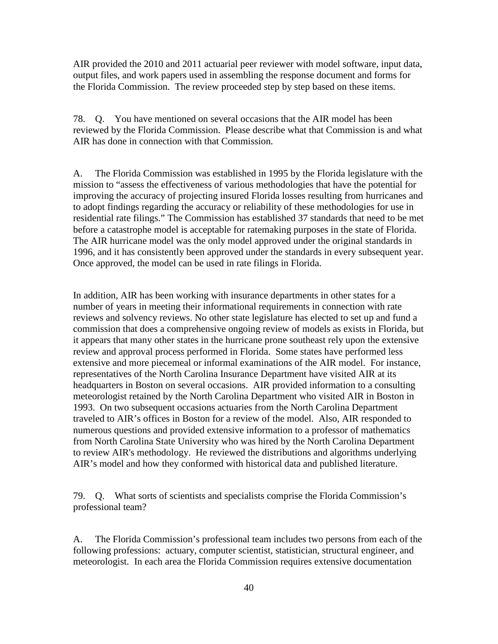AIR provided the 2010 and 2011 actuarial peer reviewer with model software, input data, output files, and work papers used in assembling the response document and forms for the Florida Commission. The review proceeded step by step based on these items.

78. Q. You have mentioned on several occasions that the AIR model has been reviewed by the Florida Commission. Please describe what that Commission is and what AIR has done in connection with that Commission.

A. The Florida Commission was established in 1995 by the Florida legislature with the mission to "assess the effectiveness of various methodologies that have the potential for improving the accuracy of projecting insured Florida losses resulting from hurricanes and to adopt findings regarding the accuracy or reliability of these methodologies for use in residential rate filings." The Commission has established 37 standards that need to be met before a catastrophe model is acceptable for ratemaking purposes in the state of Florida. The AIR hurricane model was the only model approved under the original standards in 1996, and it has consistently been approved under the standards in every subsequent year. Once approved, the model can be used in rate filings in Florida.

In addition, AIR has been working with insurance departments in other states for a number of years in meeting their informational requirements in connection with rate reviews and solvency reviews. No other state legislature has elected to set up and fund a commission that does a comprehensive ongoing review of models as exists in Florida, but it appears that many other states in the hurricane prone southeast rely upon the extensive review and approval process performed in Florida. Some states have performed less extensive and more piecemeal or informal examinations of the AIR model. For instance, representatives of the North Carolina Insurance Department have visited AIR at its headquarters in Boston on several occasions. AIR provided information to a consulting meteorologist retained by the North Carolina Department who visited AIR in Boston in 1993. On two subsequent occasions actuaries from the North Carolina Department traveled to AIR's offices in Boston for a review of the model. Also, AIR responded to numerous questions and provided extensive information to a professor of mathematics from North Carolina State University who was hired by the North Carolina Department to review AIR's methodology. He reviewed the distributions and algorithms underlying AIR's model and how they conformed with historical data and published literature.

79. Q. What sorts of scientists and specialists comprise the Florida Commission's professional team?

A. The Florida Commission's professional team includes two persons from each of the following professions: actuary, computer scientist, statistician, structural engineer, and meteorologist. In each area the Florida Commission requires extensive documentation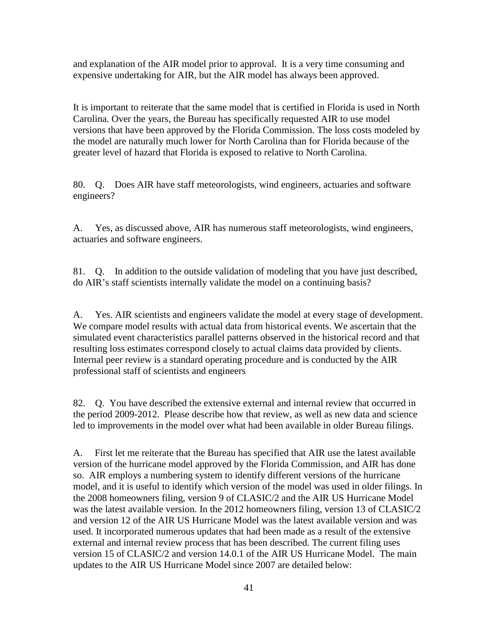and explanation of the AIR model prior to approval. It is a very time consuming and expensive undertaking for AIR, but the AIR model has always been approved.

It is important to reiterate that the same model that is certified in Florida is used in North Carolina. Over the years, the Bureau has specifically requested AIR to use model versions that have been approved by the Florida Commission. The loss costs modeled by the model are naturally much lower for North Carolina than for Florida because of the greater level of hazard that Florida is exposed to relative to North Carolina.

80. Q. Does AIR have staff meteorologists, wind engineers, actuaries and software engineers?

A. Yes, as discussed above, AIR has numerous staff meteorologists, wind engineers, actuaries and software engineers.

81. Q. In addition to the outside validation of modeling that you have just described, do AIR's staff scientists internally validate the model on a continuing basis?

A. Yes. AIR scientists and engineers validate the model at every stage of development. We compare model results with actual data from historical events. We ascertain that the simulated event characteristics parallel patterns observed in the historical record and that resulting loss estimates correspond closely to actual claims data provided by clients. Internal peer review is a standard operating procedure and is conducted by the AIR professional staff of scientists and engineers

82. Q. You have described the extensive external and internal review that occurred in the period 2009-2012. Please describe how that review, as well as new data and science led to improvements in the model over what had been available in older Bureau filings.

A. First let me reiterate that the Bureau has specified that AIR use the latest available version of the hurricane model approved by the Florida Commission, and AIR has done so. AIR employs a numbering system to identify different versions of the hurricane model, and it is useful to identify which version of the model was used in older filings. In the 2008 homeowners filing, version 9 of CLASIC/2 and the AIR US Hurricane Model was the latest available version. In the 2012 homeowners filing, version 13 of CLASIC/2 and version 12 of the AIR US Hurricane Model was the latest available version and was used. It incorporated numerous updates that had been made as a result of the extensive external and internal review process that has been described. The current filing uses version 15 of CLASIC/2 and version 14.0.1 of the AIR US Hurricane Model. The main updates to the AIR US Hurricane Model since 2007 are detailed below: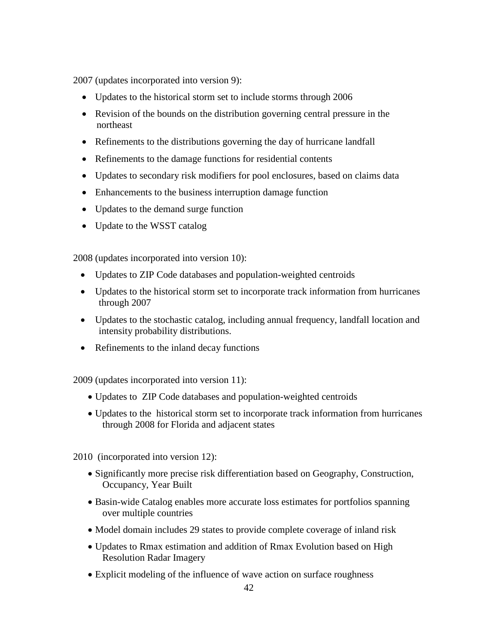2007 (updates incorporated into version 9):

- Updates to the historical storm set to include storms through 2006
- Revision of the bounds on the distribution governing central pressure in the northeast
- Refinements to the distributions governing the day of hurricane landfall
- Refinements to the damage functions for residential contents
- Updates to secondary risk modifiers for pool enclosures, based on claims data
- Enhancements to the business interruption damage function
- Updates to the demand surge function
- Update to the WSST catalog

2008 (updates incorporated into version 10):

- Updates to ZIP Code databases and population-weighted centroids
- Updates to the historical storm set to incorporate track information from hurricanes through 2007
- Updates to the stochastic catalog, including annual frequency, landfall location and intensity probability distributions.
- Refinements to the inland decay functions

2009 (updates incorporated into version 11):

- Updates to ZIP Code databases and population-weighted centroids
- Updates to the historical storm set to incorporate track information from hurricanes through 2008 for Florida and adjacent states

2010 (incorporated into version 12):

- Significantly more precise risk differentiation based on Geography, Construction, Occupancy, Year Built
- Basin-wide Catalog enables more accurate loss estimates for portfolios spanning over multiple countries
- Model domain includes 29 states to provide complete coverage of inland risk
- Updates to Rmax estimation and addition of Rmax Evolution based on High Resolution Radar Imagery
- Explicit modeling of the influence of wave action on surface roughness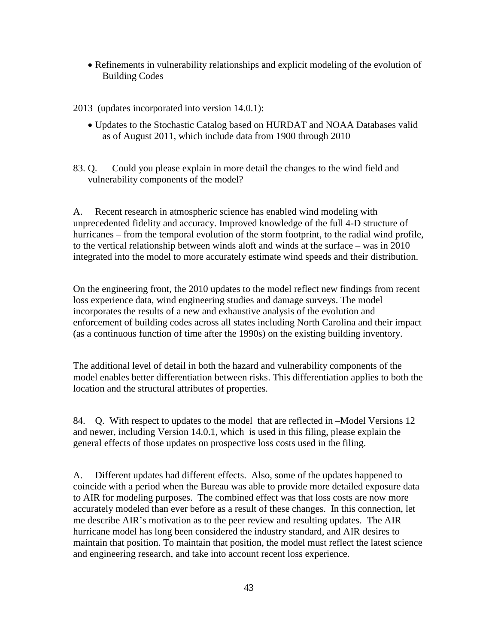• Refinements in vulnerability relationships and explicit modeling of the evolution of Building Codes

2013 (updates incorporated into version 14.0.1):

• Updates to the Stochastic Catalog based on HURDAT and NOAA Databases valid as of August 2011, which include data from 1900 through 2010

83. Q. Could you please explain in more detail the changes to the wind field and vulnerability components of the model?

A. Recent research in atmospheric science has enabled wind modeling with unprecedented fidelity and accuracy. Improved knowledge of the full 4-D structure of hurricanes – from the temporal evolution of the storm footprint, to the radial wind profile, to the vertical relationship between winds aloft and winds at the surface – was in 2010 integrated into the model to more accurately estimate wind speeds and their distribution.

On the engineering front, the 2010 updates to the model reflect new findings from recent loss experience data, wind engineering studies and damage surveys. The model incorporates the results of a new and exhaustive analysis of the evolution and enforcement of building codes across all states including North Carolina and their impact (as a continuous function of time after the 1990s) on the existing building inventory.

The additional level of detail in both the hazard and vulnerability components of the model enables better differentiation between risks. This differentiation applies to both the location and the structural attributes of properties.

84. Q. With respect to updates to the model that are reflected in –Model Versions 12 and newer, including Version 14.0.1, which is used in this filing, please explain the general effects of those updates on prospective loss costs used in the filing.

A. Different updates had different effects. Also, some of the updates happened to coincide with a period when the Bureau was able to provide more detailed exposure data to AIR for modeling purposes. The combined effect was that loss costs are now more accurately modeled than ever before as a result of these changes. In this connection, let me describe AIR's motivation as to the peer review and resulting updates. The AIR hurricane model has long been considered the industry standard, and AIR desires to maintain that position. To maintain that position, the model must reflect the latest science and engineering research, and take into account recent loss experience.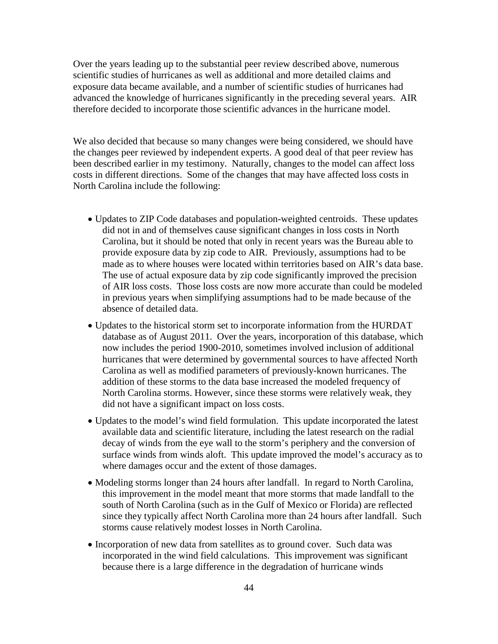Over the years leading up to the substantial peer review described above, numerous scientific studies of hurricanes as well as additional and more detailed claims and exposure data became available, and a number of scientific studies of hurricanes had advanced the knowledge of hurricanes significantly in the preceding several years. AIR therefore decided to incorporate those scientific advances in the hurricane model.

We also decided that because so many changes were being considered, we should have the changes peer reviewed by independent experts. A good deal of that peer review has been described earlier in my testimony. Naturally, changes to the model can affect loss costs in different directions. Some of the changes that may have affected loss costs in North Carolina include the following:

- Updates to ZIP Code databases and population-weighted centroids. These updates did not in and of themselves cause significant changes in loss costs in North Carolina, but it should be noted that only in recent years was the Bureau able to provide exposure data by zip code to AIR. Previously, assumptions had to be made as to where houses were located within territories based on AIR's data base. The use of actual exposure data by zip code significantly improved the precision of AIR loss costs. Those loss costs are now more accurate than could be modeled in previous years when simplifying assumptions had to be made because of the absence of detailed data.
- Updates to the historical storm set to incorporate information from the HURDAT database as of August 2011. Over the years, incorporation of this database, which now includes the period 1900-2010, sometimes involved inclusion of additional hurricanes that were determined by governmental sources to have affected North Carolina as well as modified parameters of previously-known hurricanes. The addition of these storms to the data base increased the modeled frequency of North Carolina storms. However, since these storms were relatively weak, they did not have a significant impact on loss costs.
- Updates to the model's wind field formulation. This update incorporated the latest available data and scientific literature, including the latest research on the radial decay of winds from the eye wall to the storm's periphery and the conversion of surface winds from winds aloft. This update improved the model's accuracy as to where damages occur and the extent of those damages.
- Modeling storms longer than 24 hours after landfall. In regard to North Carolina, this improvement in the model meant that more storms that made landfall to the south of North Carolina (such as in the Gulf of Mexico or Florida) are reflected since they typically affect North Carolina more than 24 hours after landfall. Such storms cause relatively modest losses in North Carolina.
- Incorporation of new data from satellites as to ground cover. Such data was incorporated in the wind field calculations. This improvement was significant because there is a large difference in the degradation of hurricane winds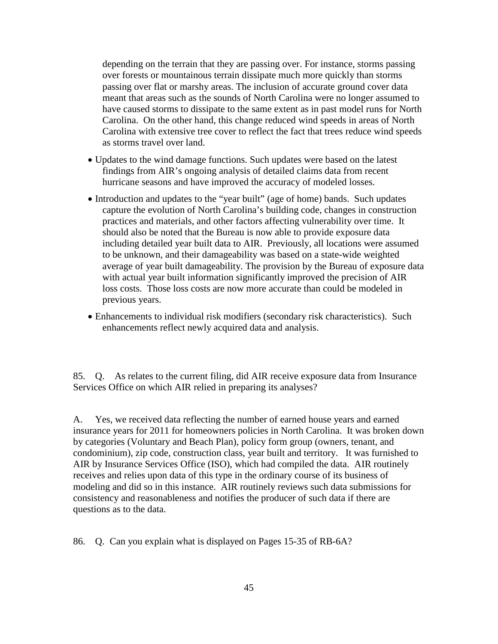depending on the terrain that they are passing over. For instance, storms passing over forests or mountainous terrain dissipate much more quickly than storms passing over flat or marshy areas. The inclusion of accurate ground cover data meant that areas such as the sounds of North Carolina were no longer assumed to have caused storms to dissipate to the same extent as in past model runs for North Carolina. On the other hand, this change reduced wind speeds in areas of North Carolina with extensive tree cover to reflect the fact that trees reduce wind speeds as storms travel over land.

- Updates to the wind damage functions. Such updates were based on the latest findings from AIR's ongoing analysis of detailed claims data from recent hurricane seasons and have improved the accuracy of modeled losses.
- Introduction and updates to the "year built" (age of home) bands. Such updates capture the evolution of North Carolina's building code, changes in construction practices and materials, and other factors affecting vulnerability over time. It should also be noted that the Bureau is now able to provide exposure data including detailed year built data to AIR. Previously, all locations were assumed to be unknown, and their damageability was based on a state-wide weighted average of year built damageability. The provision by the Bureau of exposure data with actual year built information significantly improved the precision of AIR loss costs. Those loss costs are now more accurate than could be modeled in previous years.
- Enhancements to individual risk modifiers (secondary risk characteristics). Such enhancements reflect newly acquired data and analysis.

85. Q. As relates to the current filing, did AIR receive exposure data from Insurance Services Office on which AIR relied in preparing its analyses?

A. Yes, we received data reflecting the number of earned house years and earned insurance years for 2011 for homeowners policies in North Carolina. It was broken down by categories (Voluntary and Beach Plan), policy form group (owners, tenant, and condominium), zip code, construction class, year built and territory. It was furnished to AIR by Insurance Services Office (ISO), which had compiled the data. AIR routinely receives and relies upon data of this type in the ordinary course of its business of modeling and did so in this instance. AIR routinely reviews such data submissions for consistency and reasonableness and notifies the producer of such data if there are questions as to the data.

86. Q. Can you explain what is displayed on Pages 15-35 of RB-6A?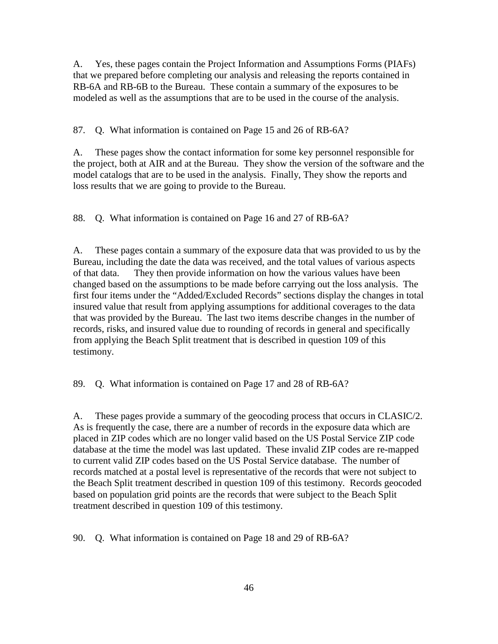A. Yes, these pages contain the Project Information and Assumptions Forms (PIAFs) that we prepared before completing our analysis and releasing the reports contained in RB-6A and RB-6B to the Bureau. These contain a summary of the exposures to be modeled as well as the assumptions that are to be used in the course of the analysis.

87. Q. What information is contained on Page 15 and 26 of RB-6A?

A. These pages show the contact information for some key personnel responsible for the project, both at AIR and at the Bureau. They show the version of the software and the model catalogs that are to be used in the analysis. Finally, They show the reports and loss results that we are going to provide to the Bureau.

88. Q. What information is contained on Page 16 and 27 of RB-6A?

A. These pages contain a summary of the exposure data that was provided to us by the Bureau, including the date the data was received, and the total values of various aspects of that data. They then provide information on how the various values have been changed based on the assumptions to be made before carrying out the loss analysis. The first four items under the "Added/Excluded Records" sections display the changes in total insured value that result from applying assumptions for additional coverages to the data that was provided by the Bureau. The last two items describe changes in the number of records, risks, and insured value due to rounding of records in general and specifically from applying the Beach Split treatment that is described in question 109 of this testimony.

89. Q. What information is contained on Page 17 and 28 of RB-6A?

A. These pages provide a summary of the geocoding process that occurs in CLASIC/2. As is frequently the case, there are a number of records in the exposure data which are placed in ZIP codes which are no longer valid based on the US Postal Service ZIP code database at the time the model was last updated. These invalid ZIP codes are re-mapped to current valid ZIP codes based on the US Postal Service database. The number of records matched at a postal level is representative of the records that were not subject to the Beach Split treatment described in question 109 of this testimony. Records geocoded based on population grid points are the records that were subject to the Beach Split treatment described in question 109 of this testimony.

90. Q. What information is contained on Page 18 and 29 of RB-6A?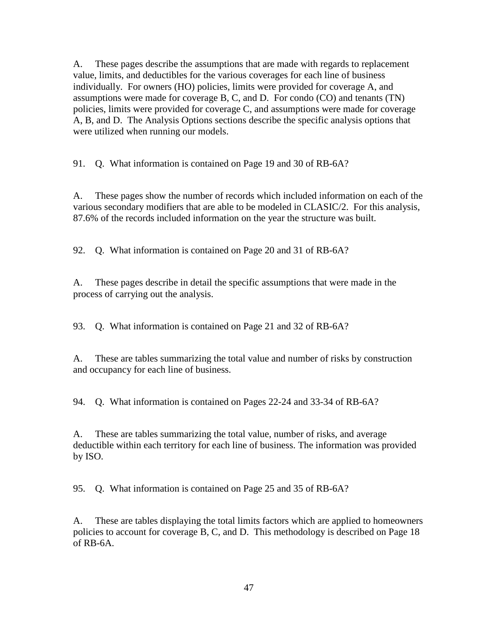A. These pages describe the assumptions that are made with regards to replacement value, limits, and deductibles for the various coverages for each line of business individually. For owners (HO) policies, limits were provided for coverage A, and assumptions were made for coverage B, C, and D. For condo (CO) and tenants (TN) policies, limits were provided for coverage C, and assumptions were made for coverage A, B, and D. The Analysis Options sections describe the specific analysis options that were utilized when running our models.

91. Q. What information is contained on Page 19 and 30 of RB-6A?

A. These pages show the number of records which included information on each of the various secondary modifiers that are able to be modeled in CLASIC/2. For this analysis, 87.6% of the records included information on the year the structure was built.

92. Q. What information is contained on Page 20 and 31 of RB-6A?

A. These pages describe in detail the specific assumptions that were made in the process of carrying out the analysis.

93. Q. What information is contained on Page 21 and 32 of RB-6A?

A. These are tables summarizing the total value and number of risks by construction and occupancy for each line of business.

94. Q. What information is contained on Pages 22-24 and 33-34 of RB-6A?

A. These are tables summarizing the total value, number of risks, and average deductible within each territory for each line of business. The information was provided by ISO.

95. Q. What information is contained on Page 25 and 35 of RB-6A?

A. These are tables displaying the total limits factors which are applied to homeowners policies to account for coverage B, C, and D. This methodology is described on Page 18 of RB-6A.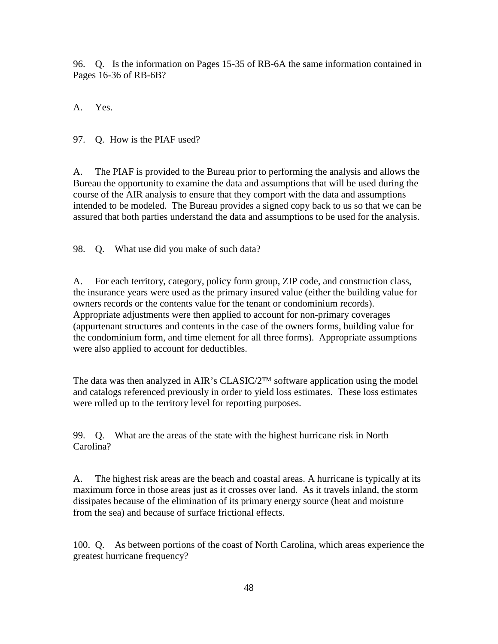96. Q. Is the information on Pages 15-35 of RB-6A the same information contained in Pages 16-36 of RB-6B?

A. Yes.

97. Q. How is the PIAF used?

A. The PIAF is provided to the Bureau prior to performing the analysis and allows the Bureau the opportunity to examine the data and assumptions that will be used during the course of the AIR analysis to ensure that they comport with the data and assumptions intended to be modeled. The Bureau provides a signed copy back to us so that we can be assured that both parties understand the data and assumptions to be used for the analysis.

98. Q. What use did you make of such data?

A. For each territory, category, policy form group, ZIP code, and construction class, the insurance years were used as the primary insured value (either the building value for owners records or the contents value for the tenant or condominium records). Appropriate adjustments were then applied to account for non-primary coverages (appurtenant structures and contents in the case of the owners forms, building value for the condominium form, and time element for all three forms). Appropriate assumptions were also applied to account for deductibles.

The data was then analyzed in AIR's CLASIC/2™ software application using the model and catalogs referenced previously in order to yield loss estimates. These loss estimates were rolled up to the territory level for reporting purposes.

99. Q. What are the areas of the state with the highest hurricane risk in North Carolina?

A. The highest risk areas are the beach and coastal areas. A hurricane is typically at its maximum force in those areas just as it crosses over land. As it travels inland, the storm dissipates because of the elimination of its primary energy source (heat and moisture from the sea) and because of surface frictional effects.

100. Q. As between portions of the coast of North Carolina, which areas experience the greatest hurricane frequency?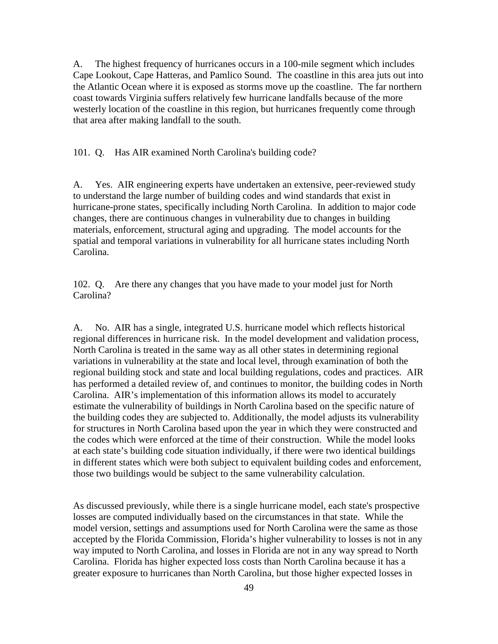A. The highest frequency of hurricanes occurs in a 100-mile segment which includes Cape Lookout, Cape Hatteras, and Pamlico Sound. The coastline in this area juts out into the Atlantic Ocean where it is exposed as storms move up the coastline. The far northern coast towards Virginia suffers relatively few hurricane landfalls because of the more westerly location of the coastline in this region, but hurricanes frequently come through that area after making landfall to the south.

101. Q. Has AIR examined North Carolina's building code?

A. Yes. AIR engineering experts have undertaken an extensive, peer-reviewed study to understand the large number of building codes and wind standards that exist in hurricane-prone states, specifically including North Carolina. In addition to major code changes, there are continuous changes in vulnerability due to changes in building materials, enforcement, structural aging and upgrading. The model accounts for the spatial and temporal variations in vulnerability for all hurricane states including North Carolina.

102. Q. Are there any changes that you have made to your model just for North Carolina?

A. No. AIR has a single, integrated U.S. hurricane model which reflects historical regional differences in hurricane risk. In the model development and validation process, North Carolina is treated in the same way as all other states in determining regional variations in vulnerability at the state and local level, through examination of both the regional building stock and state and local building regulations, codes and practices. AIR has performed a detailed review of, and continues to monitor, the building codes in North Carolina. AIR's implementation of this information allows its model to accurately estimate the vulnerability of buildings in North Carolina based on the specific nature of the building codes they are subjected to. Additionally, the model adjusts its vulnerability for structures in North Carolina based upon the year in which they were constructed and the codes which were enforced at the time of their construction. While the model looks at each state's building code situation individually, if there were two identical buildings in different states which were both subject to equivalent building codes and enforcement, those two buildings would be subject to the same vulnerability calculation.

As discussed previously, while there is a single hurricane model, each state's prospective losses are computed individually based on the circumstances in that state. While the model version, settings and assumptions used for North Carolina were the same as those accepted by the Florida Commission, Florida's higher vulnerability to losses is not in any way imputed to North Carolina, and losses in Florida are not in any way spread to North Carolina. Florida has higher expected loss costs than North Carolina because it has a greater exposure to hurricanes than North Carolina, but those higher expected losses in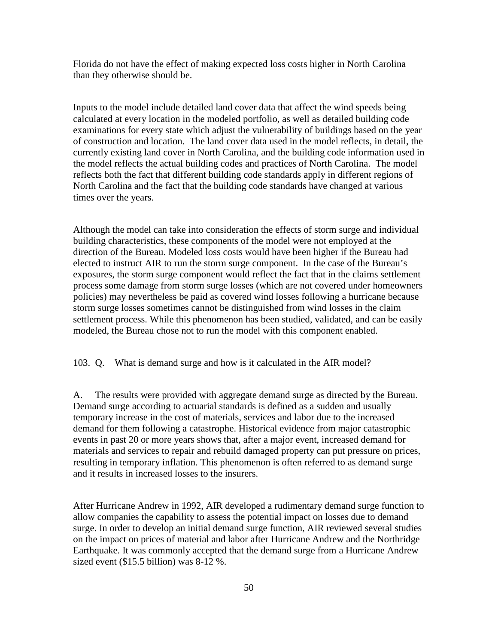Florida do not have the effect of making expected loss costs higher in North Carolina than they otherwise should be.

Inputs to the model include detailed land cover data that affect the wind speeds being calculated at every location in the modeled portfolio, as well as detailed building code examinations for every state which adjust the vulnerability of buildings based on the year of construction and location. The land cover data used in the model reflects, in detail, the currently existing land cover in North Carolina, and the building code information used in the model reflects the actual building codes and practices of North Carolina. The model reflects both the fact that different building code standards apply in different regions of North Carolina and the fact that the building code standards have changed at various times over the years.

Although the model can take into consideration the effects of storm surge and individual building characteristics, these components of the model were not employed at the direction of the Bureau. Modeled loss costs would have been higher if the Bureau had elected to instruct AIR to run the storm surge component. In the case of the Bureau's exposures, the storm surge component would reflect the fact that in the claims settlement process some damage from storm surge losses (which are not covered under homeowners policies) may nevertheless be paid as covered wind losses following a hurricane because storm surge losses sometimes cannot be distinguished from wind losses in the claim settlement process. While this phenomenon has been studied, validated, and can be easily modeled, the Bureau chose not to run the model with this component enabled.

103. Q. What is demand surge and how is it calculated in the AIR model?

A. The results were provided with aggregate demand surge as directed by the Bureau. Demand surge according to actuarial standards is defined as a sudden and usually temporary increase in the cost of materials, services and labor due to the increased demand for them following a catastrophe. Historical evidence from major catastrophic events in past 20 or more years shows that, after a major event, increased demand for materials and services to repair and rebuild damaged property can put pressure on prices, resulting in temporary inflation. This phenomenon is often referred to as demand surge and it results in increased losses to the insurers.

After Hurricane Andrew in 1992, AIR developed a rudimentary demand surge function to allow companies the capability to assess the potential impact on losses due to demand surge. In order to develop an initial demand surge function, AIR reviewed several studies on the impact on prices of material and labor after Hurricane Andrew and the Northridge Earthquake. It was commonly accepted that the demand surge from a Hurricane Andrew sized event (\$15.5 billion) was 8-12 %.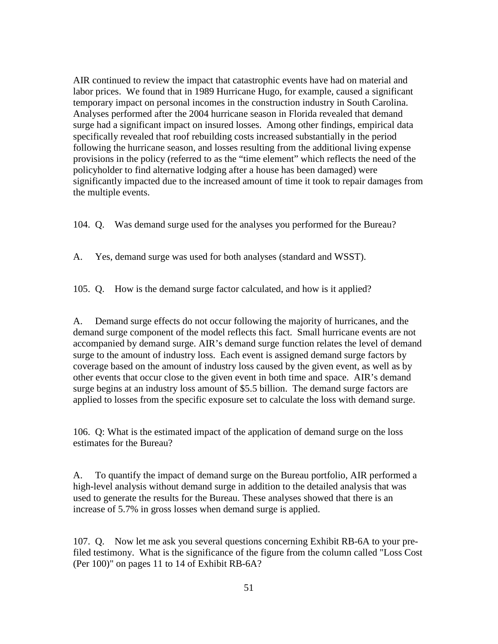AIR continued to review the impact that catastrophic events have had on material and labor prices. We found that in 1989 Hurricane Hugo, for example, caused a significant temporary impact on personal incomes in the construction industry in South Carolina. Analyses performed after the 2004 hurricane season in Florida revealed that demand surge had a significant impact on insured losses. Among other findings, empirical data specifically revealed that roof rebuilding costs increased substantially in the period following the hurricane season, and losses resulting from the additional living expense provisions in the policy (referred to as the "time element" which reflects the need of the policyholder to find alternative lodging after a house has been damaged) were significantly impacted due to the increased amount of time it took to repair damages from the multiple events.

104. Q. Was demand surge used for the analyses you performed for the Bureau?

A. Yes, demand surge was used for both analyses (standard and WSST).

105. Q. How is the demand surge factor calculated, and how is it applied?

A. Demand surge effects do not occur following the majority of hurricanes, and the demand surge component of the model reflects this fact. Small hurricane events are not accompanied by demand surge. AIR's demand surge function relates the level of demand surge to the amount of industry loss. Each event is assigned demand surge factors by coverage based on the amount of industry loss caused by the given event, as well as by other events that occur close to the given event in both time and space. AIR's demand surge begins at an industry loss amount of \$5.5 billion. The demand surge factors are applied to losses from the specific exposure set to calculate the loss with demand surge.

106. Q: What is the estimated impact of the application of demand surge on the loss estimates for the Bureau?

A. To quantify the impact of demand surge on the Bureau portfolio, AIR performed a high-level analysis without demand surge in addition to the detailed analysis that was used to generate the results for the Bureau. These analyses showed that there is an increase of 5.7% in gross losses when demand surge is applied.

107. Q. Now let me ask you several questions concerning Exhibit RB-6A to your prefiled testimony. What is the significance of the figure from the column called "Loss Cost (Per 100)" on pages 11 to 14 of Exhibit RB-6A?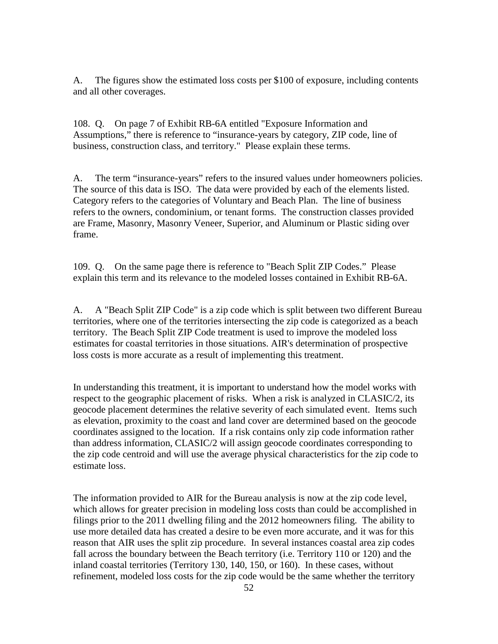A. The figures show the estimated loss costs per \$100 of exposure, including contents and all other coverages.

108. Q. On page 7 of Exhibit RB-6A entitled "Exposure Information and Assumptions," there is reference to "insurance-years by category, ZIP code, line of business, construction class, and territory." Please explain these terms.

A. The term "insurance-years" refers to the insured values under homeowners policies. The source of this data is ISO. The data were provided by each of the elements listed. Category refers to the categories of Voluntary and Beach Plan. The line of business refers to the owners, condominium, or tenant forms. The construction classes provided are Frame, Masonry, Masonry Veneer, Superior, and Aluminum or Plastic siding over frame.

109. Q. On the same page there is reference to "Beach Split ZIP Codes." Please explain this term and its relevance to the modeled losses contained in Exhibit RB-6A.

A. A "Beach Split ZIP Code" is a zip code which is split between two different Bureau territories, where one of the territories intersecting the zip code is categorized as a beach territory. The Beach Split ZIP Code treatment is used to improve the modeled loss estimates for coastal territories in those situations. AIR's determination of prospective loss costs is more accurate as a result of implementing this treatment.

In understanding this treatment, it is important to understand how the model works with respect to the geographic placement of risks. When a risk is analyzed in CLASIC/2, its geocode placement determines the relative severity of each simulated event. Items such as elevation, proximity to the coast and land cover are determined based on the geocode coordinates assigned to the location. If a risk contains only zip code information rather than address information, CLASIC/2 will assign geocode coordinates corresponding to the zip code centroid and will use the average physical characteristics for the zip code to estimate loss.

The information provided to AIR for the Bureau analysis is now at the zip code level, which allows for greater precision in modeling loss costs than could be accomplished in filings prior to the 2011 dwelling filing and the 2012 homeowners filing. The ability to use more detailed data has created a desire to be even more accurate, and it was for this reason that AIR uses the split zip procedure. In several instances coastal area zip codes fall across the boundary between the Beach territory (i.e. Territory 110 or 120) and the inland coastal territories (Territory 130, 140, 150, or 160). In these cases, without refinement, modeled loss costs for the zip code would be the same whether the territory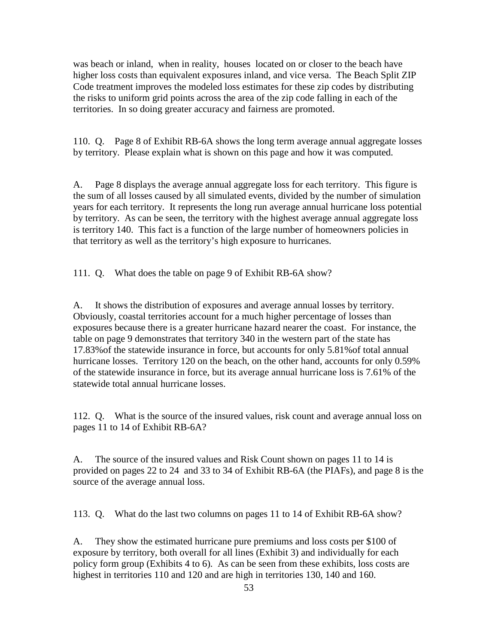was beach or inland, when in reality, houses located on or closer to the beach have higher loss costs than equivalent exposures inland, and vice versa. The Beach Split ZIP Code treatment improves the modeled loss estimates for these zip codes by distributing the risks to uniform grid points across the area of the zip code falling in each of the territories. In so doing greater accuracy and fairness are promoted.

110. Q. Page 8 of Exhibit RB-6A shows the long term average annual aggregate losses by territory. Please explain what is shown on this page and how it was computed.

A. Page 8 displays the average annual aggregate loss for each territory. This figure is the sum of all losses caused by all simulated events, divided by the number of simulation years for each territory. It represents the long run average annual hurricane loss potential by territory. As can be seen, the territory with the highest average annual aggregate loss is territory 140. This fact is a function of the large number of homeowners policies in that territory as well as the territory's high exposure to hurricanes.

111. Q. What does the table on page 9 of Exhibit RB-6A show?

A. It shows the distribution of exposures and average annual losses by territory. Obviously, coastal territories account for a much higher percentage of losses than exposures because there is a greater hurricane hazard nearer the coast. For instance, the table on page 9 demonstrates that territory 340 in the western part of the state has 17.83%of the statewide insurance in force, but accounts for only 5.81%of total annual hurricane losses. Territory 120 on the beach, on the other hand, accounts for only 0.59% of the statewide insurance in force, but its average annual hurricane loss is 7.61% of the statewide total annual hurricane losses.

112. Q. What is the source of the insured values, risk count and average annual loss on pages 11 to 14 of Exhibit RB-6A?

A. The source of the insured values and Risk Count shown on pages 11 to 14 is provided on pages 22 to 24 and 33 to 34 of Exhibit RB-6A (the PIAFs), and page 8 is the source of the average annual loss.

113. Q. What do the last two columns on pages 11 to 14 of Exhibit RB-6A show?

A. They show the estimated hurricane pure premiums and loss costs per \$100 of exposure by territory, both overall for all lines (Exhibit 3) and individually for each policy form group (Exhibits 4 to 6). As can be seen from these exhibits, loss costs are highest in territories 110 and 120 and are high in territories 130, 140 and 160.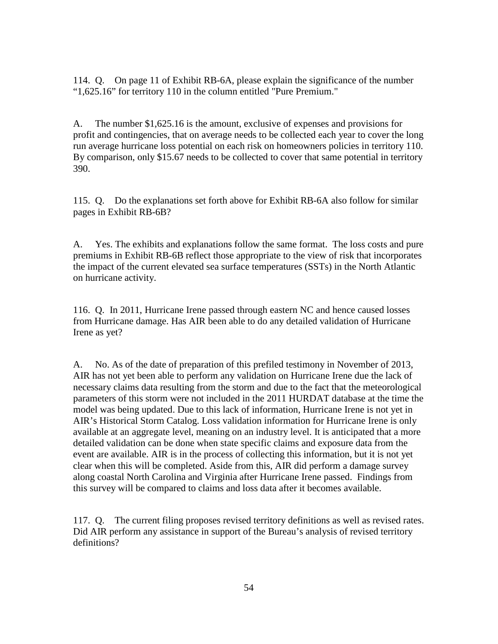114. Q. On page 11 of Exhibit RB-6A, please explain the significance of the number "1,625.16" for territory 110 in the column entitled "Pure Premium."

A. The number \$1,625.16 is the amount, exclusive of expenses and provisions for profit and contingencies, that on average needs to be collected each year to cover the long run average hurricane loss potential on each risk on homeowners policies in territory 110. By comparison, only \$15.67 needs to be collected to cover that same potential in territory 390.

115. Q. Do the explanations set forth above for Exhibit RB-6A also follow for similar pages in Exhibit RB-6B?

A. Yes. The exhibits and explanations follow the same format. The loss costs and pure premiums in Exhibit RB-6B reflect those appropriate to the view of risk that incorporates the impact of the current elevated sea surface temperatures (SSTs) in the North Atlantic on hurricane activity.

116. Q. In 2011, Hurricane Irene passed through eastern NC and hence caused losses from Hurricane damage. Has AIR been able to do any detailed validation of Hurricane Irene as yet?

A. No. As of the date of preparation of this prefiled testimony in November of 2013, AIR has not yet been able to perform any validation on Hurricane Irene due the lack of necessary claims data resulting from the storm and due to the fact that the meteorological parameters of this storm were not included in the 2011 HURDAT database at the time the model was being updated. Due to this lack of information, Hurricane Irene is not yet in AIR's Historical Storm Catalog. Loss validation information for Hurricane Irene is only available at an aggregate level, meaning on an industry level. It is anticipated that a more detailed validation can be done when state specific claims and exposure data from the event are available. AIR is in the process of collecting this information, but it is not yet clear when this will be completed. Aside from this, AIR did perform a damage survey along coastal North Carolina and Virginia after Hurricane Irene passed. Findings from this survey will be compared to claims and loss data after it becomes available.

117. Q. The current filing proposes revised territory definitions as well as revised rates. Did AIR perform any assistance in support of the Bureau's analysis of revised territory definitions?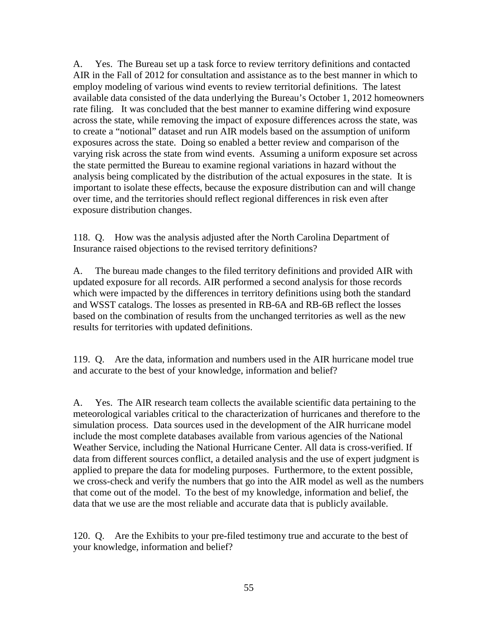A. Yes. The Bureau set up a task force to review territory definitions and contacted AIR in the Fall of 2012 for consultation and assistance as to the best manner in which to employ modeling of various wind events to review territorial definitions. The latest available data consisted of the data underlying the Bureau's October 1, 2012 homeowners rate filing. It was concluded that the best manner to examine differing wind exposure across the state, while removing the impact of exposure differences across the state, was to create a "notional" dataset and run AIR models based on the assumption of uniform exposures across the state. Doing so enabled a better review and comparison of the varying risk across the state from wind events. Assuming a uniform exposure set across the state permitted the Bureau to examine regional variations in hazard without the analysis being complicated by the distribution of the actual exposures in the state. It is important to isolate these effects, because the exposure distribution can and will change over time, and the territories should reflect regional differences in risk even after exposure distribution changes.

118. Q. How was the analysis adjusted after the North Carolina Department of Insurance raised objections to the revised territory definitions?

A. The bureau made changes to the filed territory definitions and provided AIR with updated exposure for all records. AIR performed a second analysis for those records which were impacted by the differences in territory definitions using both the standard and WSST catalogs. The losses as presented in RB-6A and RB-6B reflect the losses based on the combination of results from the unchanged territories as well as the new results for territories with updated definitions.

119. Q. Are the data, information and numbers used in the AIR hurricane model true and accurate to the best of your knowledge, information and belief?

A. Yes. The AIR research team collects the available scientific data pertaining to the meteorological variables critical to the characterization of hurricanes and therefore to the simulation process. Data sources used in the development of the AIR hurricane model include the most complete databases available from various agencies of the National Weather Service, including the National Hurricane Center. All data is cross-verified. If data from different sources conflict, a detailed analysis and the use of expert judgment is applied to prepare the data for modeling purposes. Furthermore, to the extent possible, we cross-check and verify the numbers that go into the AIR model as well as the numbers that come out of the model. To the best of my knowledge, information and belief, the data that we use are the most reliable and accurate data that is publicly available.

120. Q. Are the Exhibits to your pre-filed testimony true and accurate to the best of your knowledge, information and belief?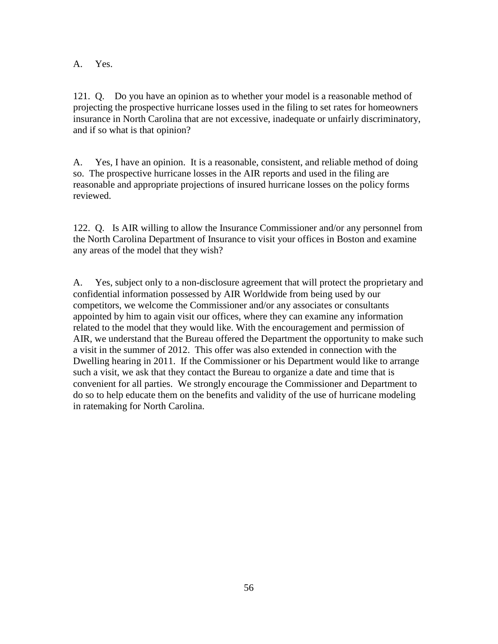A. Yes.

121. Q. Do you have an opinion as to whether your model is a reasonable method of projecting the prospective hurricane losses used in the filing to set rates for homeowners insurance in North Carolina that are not excessive, inadequate or unfairly discriminatory, and if so what is that opinion?

A. Yes, I have an opinion. It is a reasonable, consistent, and reliable method of doing so. The prospective hurricane losses in the AIR reports and used in the filing are reasonable and appropriate projections of insured hurricane losses on the policy forms reviewed.

122. Q. Is AIR willing to allow the Insurance Commissioner and/or any personnel from the North Carolina Department of Insurance to visit your offices in Boston and examine any areas of the model that they wish?

A. Yes, subject only to a non-disclosure agreement that will protect the proprietary and confidential information possessed by AIR Worldwide from being used by our competitors, we welcome the Commissioner and/or any associates or consultants appointed by him to again visit our offices, where they can examine any information related to the model that they would like. With the encouragement and permission of AIR, we understand that the Bureau offered the Department the opportunity to make such a visit in the summer of 2012. This offer was also extended in connection with the Dwelling hearing in 2011. If the Commissioner or his Department would like to arrange such a visit, we ask that they contact the Bureau to organize a date and time that is convenient for all parties. We strongly encourage the Commissioner and Department to do so to help educate them on the benefits and validity of the use of hurricane modeling in ratemaking for North Carolina.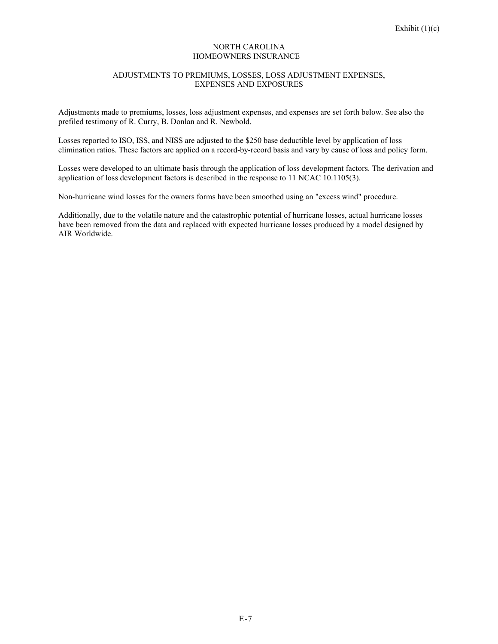#### NORTH CAROLINA HOMEOWNERS INSURANCE

#### ADJUSTMENTS TO PREMIUMS, LOSSES, LOSS ADJUSTMENT EXPENSES, EXPENSES AND EXPOSURES

Adjustments made to premiums, losses, loss adjustment expenses, and expenses are set forth below. See also the prefiled testimony of R. Curry, B. Donlan and R. Newbold.

Losses reported to ISO, ISS, and NISS are adjusted to the \$250 base deductible level by application of loss elimination ratios. These factors are applied on a record-by-record basis and vary by cause of loss and policy form.

Losses were developed to an ultimate basis through the application of loss development factors. The derivation and application of loss development factors is described in the response to 11 NCAC 10.1105(3).

Non-hurricane wind losses for the owners forms have been smoothed using an "excess wind" procedure.

Additionally, due to the volatile nature and the catastrophic potential of hurricane losses, actual hurricane losses have been removed from the data and replaced with expected hurricane losses produced by a model designed by AIR Worldwide.